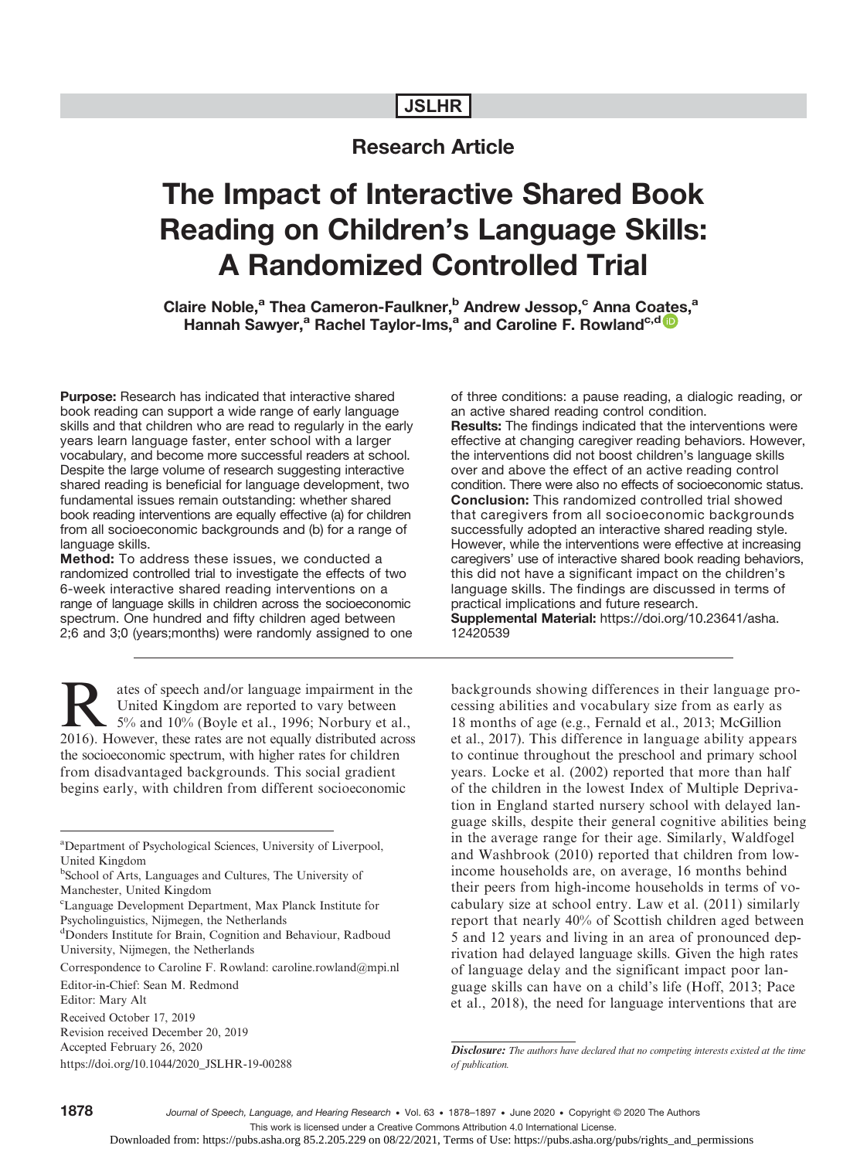# JSLHR

# Research Article

# The Impact of Interactive Shared Book Reading on Children's Language Skills: A Randomized Controlled Trial

Claire Noble,<sup>a</sup> Thea Cameron-Faulkner,<sup>b</sup> Andrew Jessop,<sup>c</sup> Anna Co[ate](https://orcid.org/0000-0002-8675-8669)s,<sup>a</sup> Hannah Sawyer,<sup>a</sup> Rachel Taylor-Ims,<sup>a</sup> and Caroline F. Rowland<sup>c,d</sup><sup>0</sup>

Purpose: Research has indicated that interactive shared book reading can support a wide range of early language skills and that children who are read to regularly in the early years learn language faster, enter school with a larger vocabulary, and become more successful readers at school. Despite the large volume of research suggesting interactive shared reading is beneficial for language development, two fundamental issues remain outstanding: whether shared book reading interventions are equally effective (a) for children from all socioeconomic backgrounds and (b) for a range of language skills.

Method: To address these issues, we conducted a randomized controlled trial to investigate the effects of two 6-week interactive shared reading interventions on a range of language skills in children across the socioeconomic spectrum. One hundred and fifty children aged between 2;6 and 3;0 (years;months) were randomly assigned to one

Rates of speech and/or language impairment in the<br>
5% and 10% (Boyle et al., 1996; Norbury et al.,<br>
5% and 10% (Boyle et al., 1996; Norbury et al.,<br>
7016) However, these rates are not equally distributed across United Kingdom are reported to vary between 2016). However, these rates are not equally distributed across the socioeconomic spectrum, with higher rates for children from disadvantaged backgrounds. This social gradient begins early, with children from different socioeconomic

c Language Development Department, Max Planck Institute for Psycholinguistics, Nijmegen, the Netherlands

<sup>d</sup>Donders Institute for Brain, Cognition and Behaviour, Radboud University, Nijmegen, the Netherlands

Correspondence to Caroline F. Rowland: caroline.rowland@mpi.nl

Revision received December 20, 2019

Accepted February 26, 2020

https://doi.org/10.1044/2020\_JSLHR-19-00288

of three conditions: a pause reading, a dialogic reading, or an active shared reading control condition. Results: The findings indicated that the interventions were effective at changing caregiver reading behaviors. However, the interventions did not boost children's language skills over and above the effect of an active reading control condition. There were also no effects of socioeconomic status. Conclusion: This randomized controlled trial showed that caregivers from all socioeconomic backgrounds successfully adopted an interactive shared reading style. However, while the interventions were effective at increasing caregivers' use of interactive shared book reading behaviors, this did not have a significant impact on the children's language skills. The findings are discussed in terms of practical implications and future research. Supplemental Material: [https://doi.org/10.23641/asha.](https://doi.org/10.23641/asha.12420539) [12420539](https://doi.org/10.23641/asha.12420539)

backgrounds showing differences in their language processing abilities and vocabulary size from as early as 18 months of age (e.g., Fernald et al., 2013; McGillion et al., 2017). This difference in language ability appears to continue throughout the preschool and primary school years. Locke et al. (2002) reported that more than half of the children in the lowest Index of Multiple Deprivation in England started nursery school with delayed language skills, despite their general cognitive abilities being in the average range for their age. Similarly, Waldfogel and Washbrook (2010) reported that children from lowincome households are, on average, 16 months behind their peers from high-income households in terms of vocabulary size at school entry. Law et al. (2011) similarly report that nearly 40% of Scottish children aged between 5 and 12 years and living in an area of pronounced deprivation had delayed language skills. Given the high rates of language delay and the significant impact poor language skills can have on a child's life (Hoff, 2013; Pace et al., 2018), the need for language interventions that are

Journal of Speech, Language, and Hearing Research • Vol. 63 • 1878-1897 • June 2020 • Copyright © 2020 The Authors

This work is licensed under a Creative Commons Attribution 4.0 International License.

<sup>&</sup>lt;sup>a</sup>Department of Psychological Sciences, University of Liverpool, United Kingdom

b School of Arts, Languages and Cultures, The University of Manchester, United Kingdom

Editor-in-Chief: Sean M. Redmond Editor: Mary Alt Received October 17, 2019

Disclosure: The authors have declared that no competing interests existed at the time of publication.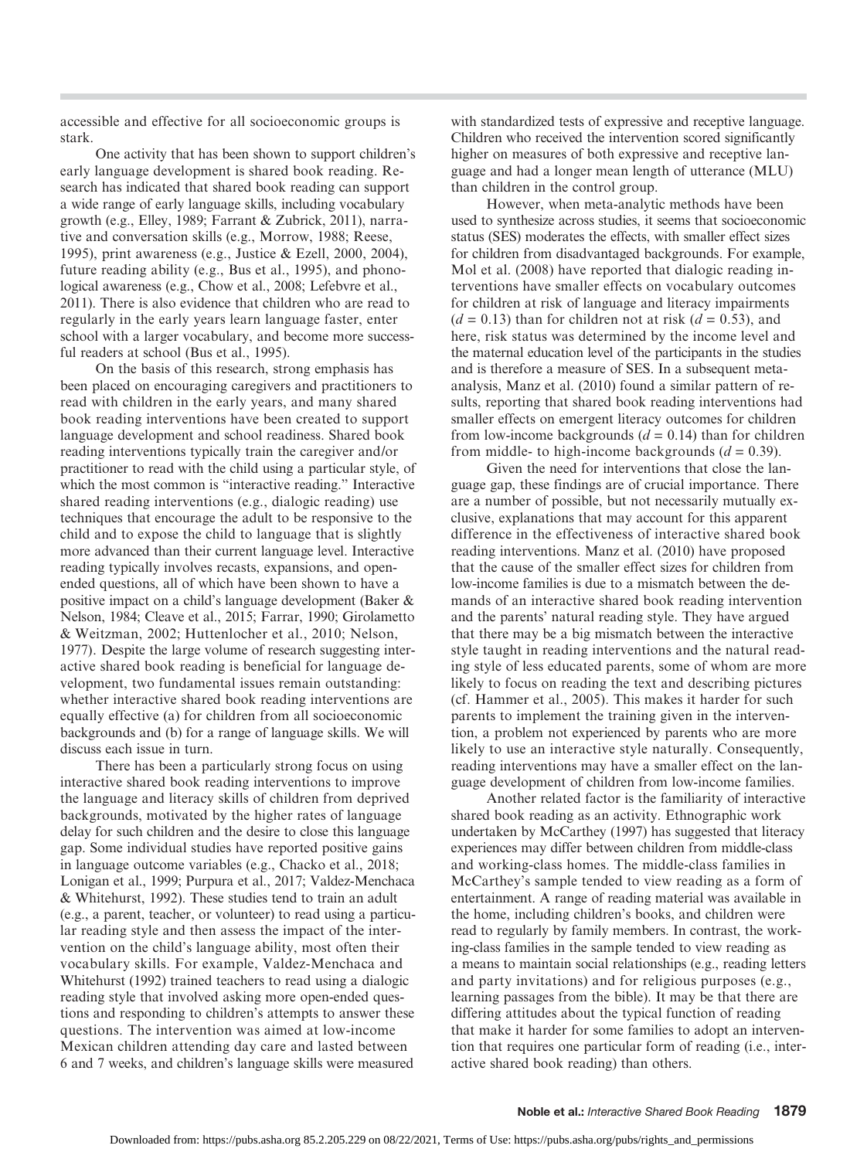accessible and effective for all socioeconomic groups is stark.

One activity that has been shown to support children's early language development is shared book reading. Research has indicated that shared book reading can support a wide range of early language skills, including vocabulary growth (e.g., Elley, 1989; Farrant & Zubrick, 2011), narrative and conversation skills (e.g., Morrow, 1988; Reese, 1995), print awareness (e.g., Justice & Ezell, 2000, 2004), future reading ability (e.g., Bus et al., 1995), and phonological awareness (e.g., Chow et al., 2008; Lefebvre et al., 2011). There is also evidence that children who are read to regularly in the early years learn language faster, enter school with a larger vocabulary, and become more successful readers at school (Bus et al., 1995).

On the basis of this research, strong emphasis has been placed on encouraging caregivers and practitioners to read with children in the early years, and many shared book reading interventions have been created to support language development and school readiness. Shared book reading interventions typically train the caregiver and/or practitioner to read with the child using a particular style, of which the most common is "interactive reading." Interactive shared reading interventions (e.g., dialogic reading) use techniques that encourage the adult to be responsive to the child and to expose the child to language that is slightly more advanced than their current language level. Interactive reading typically involves recasts, expansions, and openended questions, all of which have been shown to have a positive impact on a child's language development (Baker & Nelson, 1984; Cleave et al., 2015; Farrar, 1990; Girolametto & Weitzman, 2002; Huttenlocher et al., 2010; Nelson, 1977). Despite the large volume of research suggesting interactive shared book reading is beneficial for language development, two fundamental issues remain outstanding: whether interactive shared book reading interventions are equally effective (a) for children from all socioeconomic backgrounds and (b) for a range of language skills. We will discuss each issue in turn.

There has been a particularly strong focus on using interactive shared book reading interventions to improve the language and literacy skills of children from deprived backgrounds, motivated by the higher rates of language delay for such children and the desire to close this language gap. Some individual studies have reported positive gains in language outcome variables (e.g., Chacko et al., 2018; Lonigan et al., 1999; Purpura et al., 2017; Valdez-Menchaca & Whitehurst, 1992). These studies tend to train an adult (e.g., a parent, teacher, or volunteer) to read using a particular reading style and then assess the impact of the intervention on the child's language ability, most often their vocabulary skills. For example, Valdez-Menchaca and Whitehurst (1992) trained teachers to read using a dialogic reading style that involved asking more open-ended questions and responding to children's attempts to answer these questions. The intervention was aimed at low-income Mexican children attending day care and lasted between 6 and 7 weeks, and children's language skills were measured

with standardized tests of expressive and receptive language. Children who received the intervention scored significantly higher on measures of both expressive and receptive language and had a longer mean length of utterance (MLU) than children in the control group.

However, when meta-analytic methods have been used to synthesize across studies, it seems that socioeconomic status (SES) moderates the effects, with smaller effect sizes for children from disadvantaged backgrounds. For example, Mol et al. (2008) have reported that dialogic reading interventions have smaller effects on vocabulary outcomes for children at risk of language and literacy impairments  $(d = 0.13)$  than for children not at risk  $(d = 0.53)$ , and here, risk status was determined by the income level and the maternal education level of the participants in the studies and is therefore a measure of SES. In a subsequent metaanalysis, Manz et al. (2010) found a similar pattern of results, reporting that shared book reading interventions had smaller effects on emergent literacy outcomes for children from low-income backgrounds  $(d = 0.14)$  than for children from middle- to high-income backgrounds  $(d = 0.39)$ .

Given the need for interventions that close the language gap, these findings are of crucial importance. There are a number of possible, but not necessarily mutually exclusive, explanations that may account for this apparent difference in the effectiveness of interactive shared book reading interventions. Manz et al. (2010) have proposed that the cause of the smaller effect sizes for children from low-income families is due to a mismatch between the demands of an interactive shared book reading intervention and the parents' natural reading style. They have argued that there may be a big mismatch between the interactive style taught in reading interventions and the natural reading style of less educated parents, some of whom are more likely to focus on reading the text and describing pictures (cf. Hammer et al., 2005). This makes it harder for such parents to implement the training given in the intervention, a problem not experienced by parents who are more likely to use an interactive style naturally. Consequently, reading interventions may have a smaller effect on the language development of children from low-income families.

Another related factor is the familiarity of interactive shared book reading as an activity. Ethnographic work undertaken by McCarthey (1997) has suggested that literacy experiences may differ between children from middle-class and working-class homes. The middle-class families in McCarthey's sample tended to view reading as a form of entertainment. A range of reading material was available in the home, including children's books, and children were read to regularly by family members. In contrast, the working-class families in the sample tended to view reading as a means to maintain social relationships (e.g., reading letters and party invitations) and for religious purposes (e.g., learning passages from the bible). It may be that there are differing attitudes about the typical function of reading that make it harder for some families to adopt an intervention that requires one particular form of reading (i.e., interactive shared book reading) than others.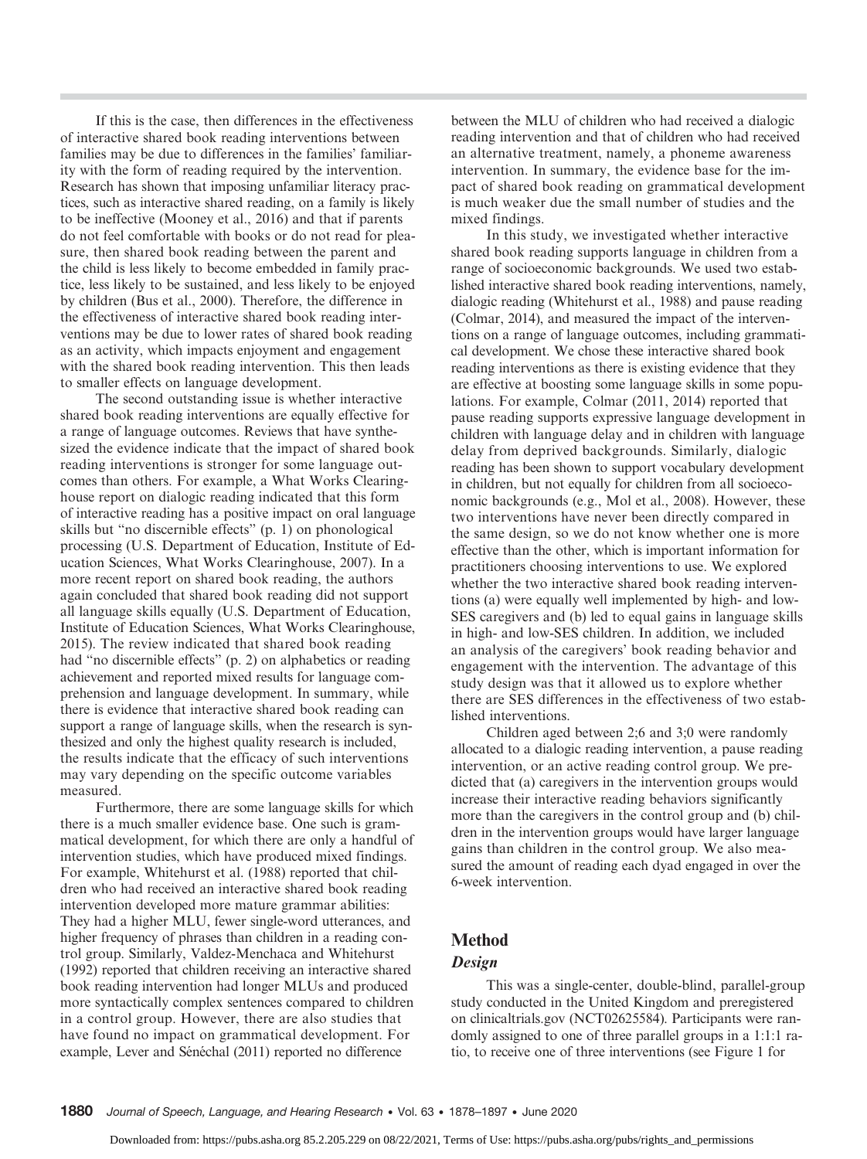If this is the case, then differences in the effectiveness of interactive shared book reading interventions between families may be due to differences in the families' familiarity with the form of reading required by the intervention. Research has shown that imposing unfamiliar literacy practices, such as interactive shared reading, on a family is likely to be ineffective (Mooney et al., 2016) and that if parents do not feel comfortable with books or do not read for pleasure, then shared book reading between the parent and the child is less likely to become embedded in family practice, less likely to be sustained, and less likely to be enjoyed by children (Bus et al., 2000). Therefore, the difference in the effectiveness of interactive shared book reading interventions may be due to lower rates of shared book reading as an activity, which impacts enjoyment and engagement with the shared book reading intervention. This then leads to smaller effects on language development.

The second outstanding issue is whether interactive shared book reading interventions are equally effective for a range of language outcomes. Reviews that have synthesized the evidence indicate that the impact of shared book reading interventions is stronger for some language outcomes than others. For example, a What Works Clearinghouse report on dialogic reading indicated that this form of interactive reading has a positive impact on oral language skills but "no discernible effects" (p. 1) on phonological processing (U.S. Department of Education, Institute of Education Sciences, What Works Clearinghouse, 2007). In a more recent report on shared book reading, the authors again concluded that shared book reading did not support all language skills equally (U.S. Department of Education, Institute of Education Sciences, What Works Clearinghouse, 2015). The review indicated that shared book reading had "no discernible effects" (p. 2) on alphabetics or reading achievement and reported mixed results for language comprehension and language development. In summary, while there is evidence that interactive shared book reading can support a range of language skills, when the research is synthesized and only the highest quality research is included, the results indicate that the efficacy of such interventions may vary depending on the specific outcome variables measured.

Furthermore, there are some language skills for which there is a much smaller evidence base. One such is grammatical development, for which there are only a handful of intervention studies, which have produced mixed findings. For example, Whitehurst et al. (1988) reported that children who had received an interactive shared book reading intervention developed more mature grammar abilities: They had a higher MLU, fewer single-word utterances, and higher frequency of phrases than children in a reading control group. Similarly, Valdez-Menchaca and Whitehurst (1992) reported that children receiving an interactive shared book reading intervention had longer MLUs and produced more syntactically complex sentences compared to children in a control group. However, there are also studies that have found no impact on grammatical development. For example, Lever and Sénéchal (2011) reported no difference

between the MLU of children who had received a dialogic reading intervention and that of children who had received an alternative treatment, namely, a phoneme awareness intervention. In summary, the evidence base for the impact of shared book reading on grammatical development is much weaker due the small number of studies and the mixed findings.

In this study, we investigated whether interactive shared book reading supports language in children from a range of socioeconomic backgrounds. We used two established interactive shared book reading interventions, namely, dialogic reading (Whitehurst et al., 1988) and pause reading (Colmar, 2014), and measured the impact of the interventions on a range of language outcomes, including grammatical development. We chose these interactive shared book reading interventions as there is existing evidence that they are effective at boosting some language skills in some populations. For example, Colmar (2011, 2014) reported that pause reading supports expressive language development in children with language delay and in children with language delay from deprived backgrounds. Similarly, dialogic reading has been shown to support vocabulary development in children, but not equally for children from all socioeconomic backgrounds (e.g., Mol et al., 2008). However, these two interventions have never been directly compared in the same design, so we do not know whether one is more effective than the other, which is important information for practitioners choosing interventions to use. We explored whether the two interactive shared book reading interventions (a) were equally well implemented by high- and low-SES caregivers and (b) led to equal gains in language skills in high- and low-SES children. In addition, we included an analysis of the caregivers' book reading behavior and engagement with the intervention. The advantage of this study design was that it allowed us to explore whether there are SES differences in the effectiveness of two established interventions.

Children aged between 2;6 and 3;0 were randomly allocated to a dialogic reading intervention, a pause reading intervention, or an active reading control group. We predicted that (a) caregivers in the intervention groups would increase their interactive reading behaviors significantly more than the caregivers in the control group and (b) children in the intervention groups would have larger language gains than children in the control group. We also measured the amount of reading each dyad engaged in over the 6-week intervention.

# Method

# Design

This was a single-center, double-blind, parallel-group study conducted in the United Kingdom and preregistered on [clinicaltrials.gov](https://osf.io/txu63/) (NCT02625584). Participants were randomly assigned to one of three parallel groups in a 1:1:1 ratio, to receive one of three interventions (see Figure 1 for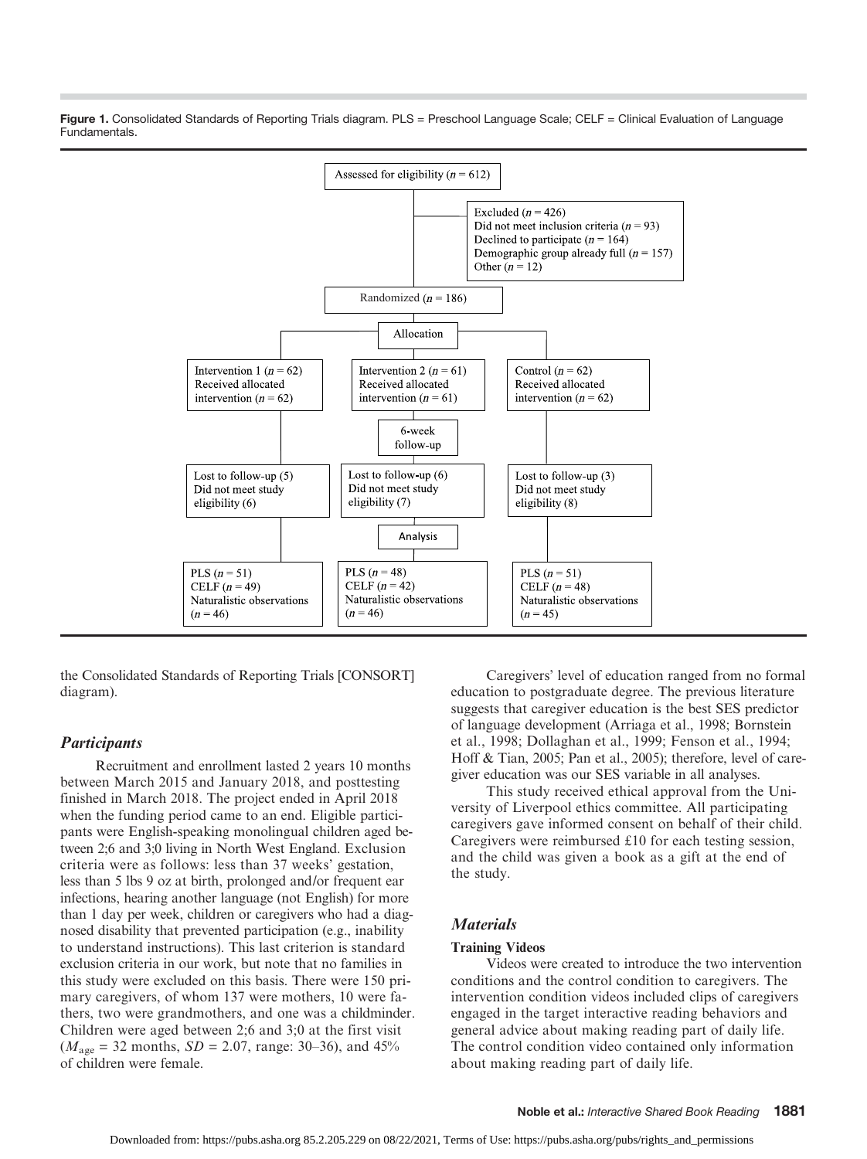

Figure 1. Consolidated Standards of Reporting Trials diagram. PLS = Preschool Language Scale; CELF = Clinical Evaluation of Language Fundamentals.

the Consolidated Standards of Reporting Trials [CONSORT] diagram).

#### **Participants**

Recruitment and enrollment lasted 2 years 10 months between March 2015 and January 2018, and posttesting finished in March 2018. The project ended in April 2018 when the funding period came to an end. Eligible participants were English-speaking monolingual children aged between 2;6 and 3;0 living in North West England. Exclusion criteria were as follows: less than 37 weeks' gestation, less than 5 lbs 9 oz at birth, prolonged and/or frequent ear infections, hearing another language (not English) for more than 1 day per week, children or caregivers who had a diagnosed disability that prevented participation (e.g., inability to understand instructions). This last criterion is standard exclusion criteria in our work, but note that no families in this study were excluded on this basis. There were 150 primary caregivers, of whom 137 were mothers, 10 were fathers, two were grandmothers, and one was a childminder. Children were aged between 2;6 and 3;0 at the first visit  $(M<sub>age</sub> = 32 months, SD = 2.07, range: 30–36), and 45%$ of children were female.

Caregivers' level of education ranged from no formal education to postgraduate degree. The previous literature suggests that caregiver education is the best SES predictor of language development (Arriaga et al., 1998; Bornstein et al., 1998; Dollaghan et al., 1999; Fenson et al., 1994; Hoff & Tian, 2005; Pan et al., 2005); therefore, level of caregiver education was our SES variable in all analyses.

This study received ethical approval from the University of Liverpool ethics committee. All participating caregivers gave informed consent on behalf of their child. Caregivers were reimbursed £10 for each testing session, and the child was given a book as a gift at the end of the study.

# **Materials**

#### Training Videos

Videos were created to introduce the two intervention conditions and the control condition to caregivers. The intervention condition videos included clips of caregivers engaged in the target interactive reading behaviors and general advice about making reading part of daily life. The control condition video contained only information about making reading part of daily life.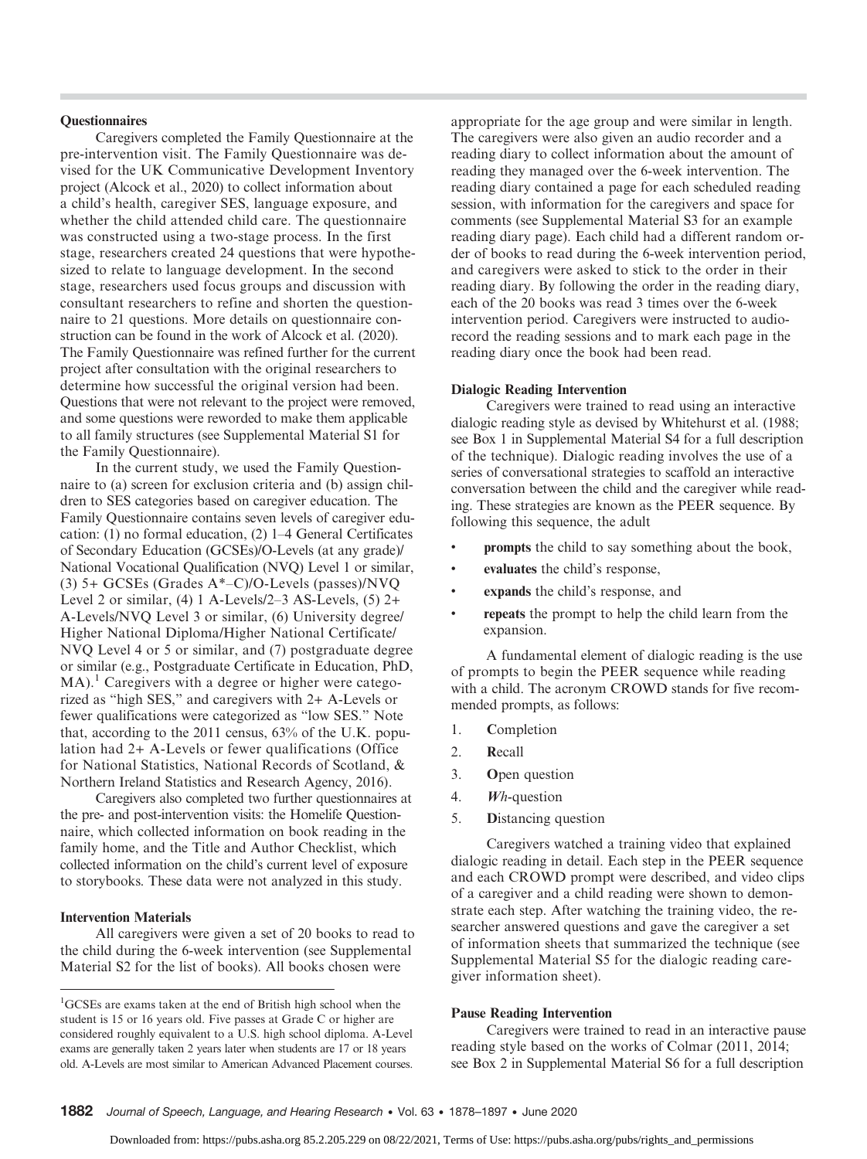#### **Ouestionnaires**

Caregivers completed the Family Questionnaire at the pre-intervention visit. The Family Questionnaire was devised for the UK Communicative Development Inventory project (Alcock et al., 2020) to collect information about a child's health, caregiver SES, language exposure, and whether the child attended child care. The questionnaire was constructed using a two-stage process. In the first stage, researchers created 24 questions that were hypothesized to relate to language development. In the second stage, researchers used focus groups and discussion with consultant researchers to refine and shorten the questionnaire to 21 questions. More details on questionnaire construction can be found in the work of Alcock et al. (2020). The Family Questionnaire was refined further for the current project after consultation with the original researchers to determine how successful the original version had been. Questions that were not relevant to the project were removed, and some questions were reworded to make them applicable to all family structures (see Supplemental Material S1 for the Family Questionnaire).

In the current study, we used the Family Questionnaire to (a) screen for exclusion criteria and (b) assign children to SES categories based on caregiver education. The Family Questionnaire contains seven levels of caregiver education: (1) no formal education, (2) 1–4 General Certificates of Secondary Education (GCSEs)/O-Levels (at any grade)/ National Vocational Qualification (NVQ) Level 1 or similar, (3) 5+ GCSEs (Grades A\*–C)/O-Levels (passes)/NVQ Level 2 or similar,  $(4)$  1 A-Levels/2–3 AS-Levels,  $(5)$  2+ A-Levels/NVQ Level 3 or similar, (6) University degree/ Higher National Diploma/Higher National Certificate/ NVQ Level 4 or 5 or similar, and (7) postgraduate degree or similar (e.g., Postgraduate Certificate in Education, PhD,  $MA$ ).<sup>1</sup> Caregivers with a degree or higher were categorized as "high SES," and caregivers with 2+ A-Levels or fewer qualifications were categorized as "low SES." Note that, according to the 2011 census, 63% of the U.K. population had 2+ A-Levels or fewer qualifications (Office for National Statistics, National Records of Scotland, & Northern Ireland Statistics and Research Agency, 2016).

Caregivers also completed two further questionnaires at the pre- and post-intervention visits: the Homelife Questionnaire, which collected information on book reading in the family home, and the Title and Author Checklist, which collected information on the child's current level of exposure to storybooks. These data were not analyzed in this study.

#### Intervention Materials

All caregivers were given a set of 20 books to read to the child during the 6-week intervention (see Supplemental Material S2 for the list of books). All books chosen were

appropriate for the age group and were similar in length. The caregivers were also given an audio recorder and a reading diary to collect information about the amount of reading they managed over the 6-week intervention. The reading diary contained a page for each scheduled reading session, with information for the caregivers and space for comments (see Supplemental Material S3 for an example reading diary page). Each child had a different random order of books to read during the 6-week intervention period, and caregivers were asked to stick to the order in their reading diary. By following the order in the reading diary, each of the 20 books was read 3 times over the 6-week intervention period. Caregivers were instructed to audiorecord the reading sessions and to mark each page in the reading diary once the book had been read.

#### Dialogic Reading Intervention

Caregivers were trained to read using an interactive dialogic reading style as devised by Whitehurst et al. (1988; see Box 1 in Supplemental Material S4 for a full description of the technique). Dialogic reading involves the use of a series of conversational strategies to scaffold an interactive conversation between the child and the caregiver while reading. These strategies are known as the PEER sequence. By following this sequence, the adult

- prompts the child to say something about the book,
- evaluates the child's response,
- expands the child's response, and
- repeats the prompt to help the child learn from the expansion.

A fundamental element of dialogic reading is the use of prompts to begin the PEER sequence while reading with a child. The acronym CROWD stands for five recommended prompts, as follows:

- 1. Completion
- 2. Recall
- 3. Open question
- 4. Wh-question
- 5. Distancing question

Caregivers watched a training video that explained dialogic reading in detail. Each step in the PEER sequence and each CROWD prompt were described, and video clips of a caregiver and a child reading were shown to demonstrate each step. After watching the training video, the researcher answered questions and gave the caregiver a set of information sheets that summarized the technique (see Supplemental Material S5 for the dialogic reading caregiver information sheet).

# Pause Reading Intervention

Caregivers were trained to read in an interactive pause reading style based on the works of Colmar (2011, 2014; see Box 2 in Supplemental Material S6 for a full description

<sup>1</sup> GCSEs are exams taken at the end of British high school when the student is 15 or 16 years old. Five passes at Grade C or higher are considered roughly equivalent to a U.S. high school diploma. A-Level exams are generally taken 2 years later when students are 17 or 18 years old. A-Levels are most similar to American Advanced Placement courses.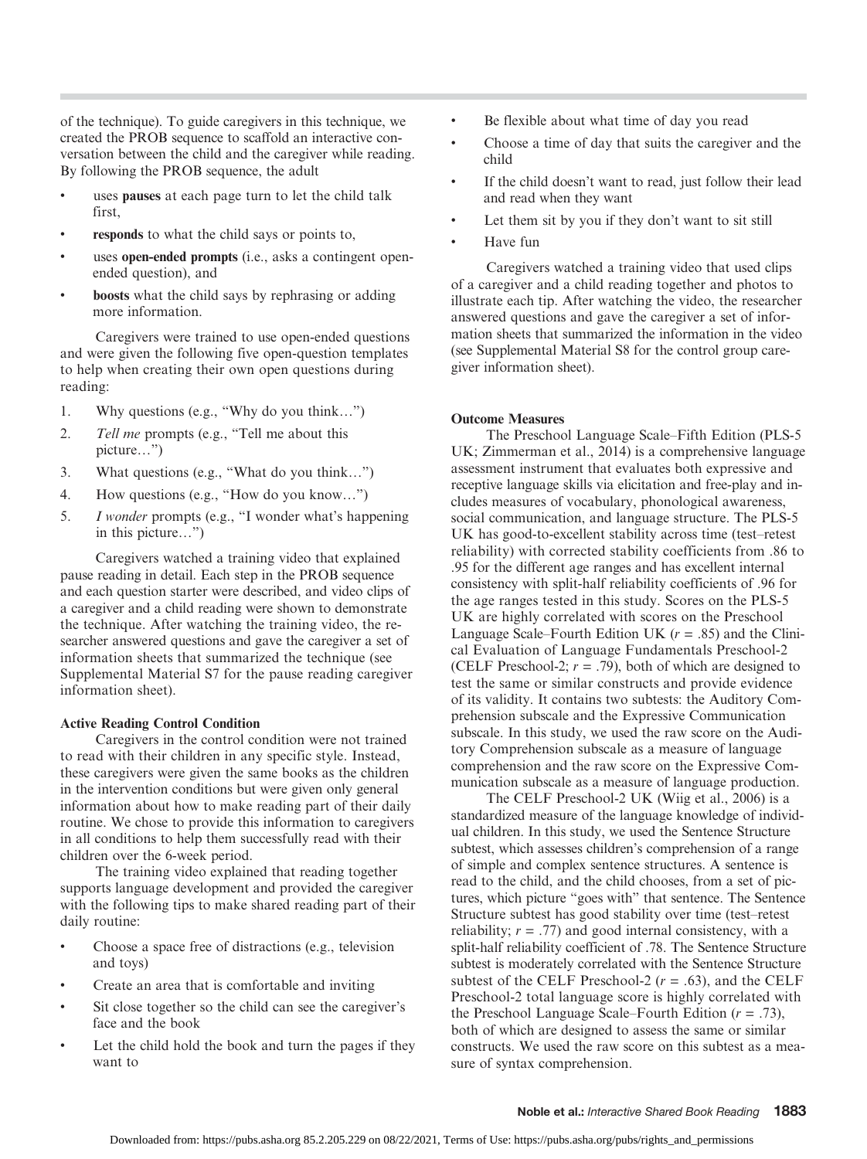of the technique). To guide caregivers in this technique, we created the PROB sequence to scaffold an interactive conversation between the child and the caregiver while reading. By following the PROB sequence, the adult

- uses pauses at each page turn to let the child talk first,
- responds to what the child says or points to,
- uses open-ended prompts (i.e., asks a contingent openended question), and
- boosts what the child says by rephrasing or adding more information.

Caregivers were trained to use open-ended questions and were given the following five open-question templates to help when creating their own open questions during reading:

- 1. Why questions (e.g., "Why do you think…")
- 2. Tell me prompts (e.g., "Tell me about this picture…")
- 3. What questions (e.g., "What do you think…")
- 4. How questions (e.g., "How do you know…")
- 5. I wonder prompts (e.g., "I wonder what's happening in this picture…")

Caregivers watched a training video that explained pause reading in detail. Each step in the PROB sequence and each question starter were described, and video clips of a caregiver and a child reading were shown to demonstrate the technique. After watching the training video, the researcher answered questions and gave the caregiver a set of information sheets that summarized the technique (see Supplemental Material S7 for the pause reading caregiver information sheet).

#### Active Reading Control Condition

Caregivers in the control condition were not trained to read with their children in any specific style. Instead, these caregivers were given the same books as the children in the intervention conditions but were given only general information about how to make reading part of their daily routine. We chose to provide this information to caregivers in all conditions to help them successfully read with their children over the 6-week period.

The training video explained that reading together supports language development and provided the caregiver with the following tips to make shared reading part of their daily routine:

- Choose a space free of distractions (e.g., television and toys)
- Create an area that is comfortable and inviting
- Sit close together so the child can see the caregiver's face and the book
- Let the child hold the book and turn the pages if they want to
- Be flexible about what time of day you read
- Choose a time of day that suits the caregiver and the child
- If the child doesn't want to read, just follow their lead and read when they want
- Let them sit by you if they don't want to sit still
- Have fun

Caregivers watched a training video that used clips of a caregiver and a child reading together and photos to illustrate each tip. After watching the video, the researcher answered questions and gave the caregiver a set of information sheets that summarized the information in the video (see Supplemental Material S8 for the control group caregiver information sheet).

## Outcome Measures

The Preschool Language Scale–Fifth Edition (PLS-5 UK; Zimmerman et al., 2014) is a comprehensive language assessment instrument that evaluates both expressive and receptive language skills via elicitation and free-play and includes measures of vocabulary, phonological awareness, social communication, and language structure. The PLS-5 UK has good-to-excellent stability across time (test–retest reliability) with corrected stability coefficients from .86 to .95 for the different age ranges and has excellent internal consistency with split-half reliability coefficients of .96 for the age ranges tested in this study. Scores on the PLS-5 UK are highly correlated with scores on the Preschool Language Scale–Fourth Edition UK  $(r = .85)$  and the Clinical Evaluation of Language Fundamentals Preschool-2 (CELF Preschool-2;  $r = .79$ ), both of which are designed to test the same or similar constructs and provide evidence of its validity. It contains two subtests: the Auditory Comprehension subscale and the Expressive Communication subscale. In this study, we used the raw score on the Auditory Comprehension subscale as a measure of language comprehension and the raw score on the Expressive Communication subscale as a measure of language production.

The CELF Preschool-2 UK (Wiig et al., 2006) is a standardized measure of the language knowledge of individual children. In this study, we used the Sentence Structure subtest, which assesses children's comprehension of a range of simple and complex sentence structures. A sentence is read to the child, and the child chooses, from a set of pictures, which picture "goes with" that sentence. The Sentence Structure subtest has good stability over time (test–retest reliability;  $r = .77$ ) and good internal consistency, with a split-half reliability coefficient of .78. The Sentence Structure subtest is moderately correlated with the Sentence Structure subtest of the CELF Preschool-2 ( $r = .63$ ), and the CELF Preschool-2 total language score is highly correlated with the Preschool Language Scale–Fourth Edition  $(r = .73)$ , both of which are designed to assess the same or similar constructs. We used the raw score on this subtest as a measure of syntax comprehension.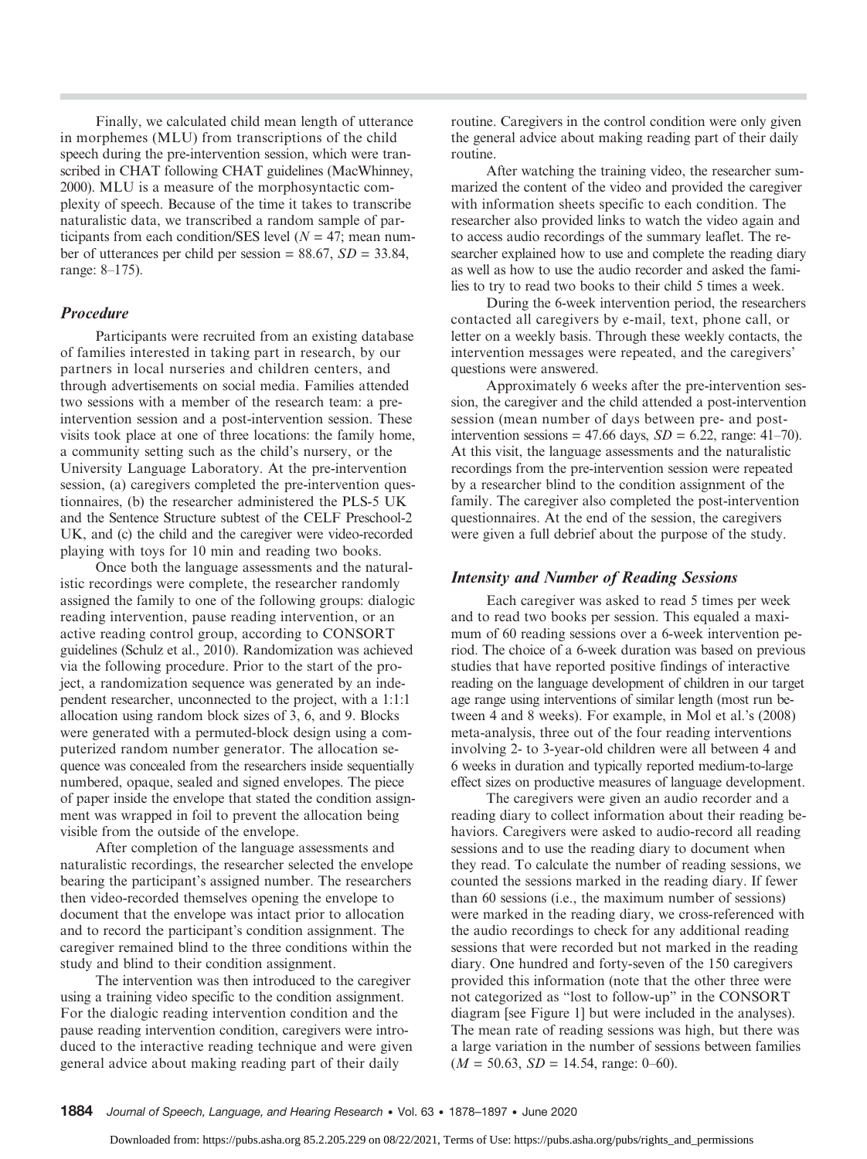Finally, we calculated child mean length of utterance in morphemes (MLU) from transcriptions of the child speech during the pre-intervention session, which were transcribed in CHAT following CHAT guidelines (MacWhinney, 2000). MLU is a measure of the morphosyntactic complexity of speech. Because of the time it takes to transcribe naturalistic data, we transcribed a random sample of participants from each condition/SES level ( $N = 47$ ; mean number of utterances per child per session =  $88.67$ ,  $SD = 33.84$ , range: 8–175).

#### Procedure

Participants were recruited from an existing database of families interested in taking part in research, by our partners in local nurseries and children centers, and through advertisements on social media. Families attended two sessions with a member of the research team: a preintervention session and a post-intervention session. These visits took place at one of three locations: the family home, a community setting such as the child's nursery, or the University Language Laboratory. At the pre-intervention session, (a) caregivers completed the pre-intervention questionnaires, (b) the researcher administered the PLS-5 UK and the Sentence Structure subtest of the CELF Preschool-2 UK, and (c) the child and the caregiver were video-recorded playing with toys for 10 min and reading two books.

Once both the language assessments and the naturalistic recordings were complete, the researcher randomly assigned the family to one of the following groups: dialogic reading intervention, pause reading intervention, or an active reading control group, according to CONSORT guidelines (Schulz et al., 2010). Randomization was achieved via the following procedure. Prior to the start of the project, a randomization sequence was generated by an independent researcher, unconnected to the project, with a 1:1:1 allocation using random block sizes of 3, 6, and 9. Blocks were generated with a permuted-block design using a computerized random number generator. The allocation sequence was concealed from the researchers inside sequentially numbered, opaque, sealed and signed envelopes. The piece of paper inside the envelope that stated the condition assignment was wrapped in foil to prevent the allocation being visible from the outside of the envelope.

After completion of the language assessments and naturalistic recordings, the researcher selected the envelope bearing the participant's assigned number. The researchers then video-recorded themselves opening the envelope to document that the envelope was intact prior to allocation and to record the participant's condition assignment. The caregiver remained blind to the three conditions within the study and blind to their condition assignment.

The intervention was then introduced to the caregiver using a training video specific to the condition assignment. For the dialogic reading intervention condition and the pause reading intervention condition, caregivers were introduced to the interactive reading technique and were given general advice about making reading part of their daily

routine. Caregivers in the control condition were only given the general advice about making reading part of their daily routine.

After watching the training video, the researcher summarized the content of the video and provided the caregiver with information sheets specific to each condition. The researcher also provided links to watch the video again and to access audio recordings of the summary leaflet. The researcher explained how to use and complete the reading diary as well as how to use the audio recorder and asked the families to try to read two books to their child 5 times a week.

During the 6-week intervention period, the researchers contacted all caregivers by e-mail, text, phone call, or letter on a weekly basis. Through these weekly contacts, the intervention messages were repeated, and the caregivers' questions were answered.

Approximately 6 weeks after the pre-intervention session, the caregiver and the child attended a post-intervention session (mean number of days between pre- and postintervention sessions = 47.66 days,  $SD = 6.22$ , range: 41–70). At this visit, the language assessments and the naturalistic recordings from the pre-intervention session were repeated by a researcher blind to the condition assignment of the family. The caregiver also completed the post-intervention questionnaires. At the end of the session, the caregivers were given a full debrief about the purpose of the study.

#### Intensity and Number of Reading Sessions

Each caregiver was asked to read 5 times per week and to read two books per session. This equaled a maximum of 60 reading sessions over a 6-week intervention period. The choice of a 6-week duration was based on previous studies that have reported positive findings of interactive reading on the language development of children in our target age range using interventions of similar length (most run between 4 and 8 weeks). For example, in Mol et al.'s (2008) meta-analysis, three out of the four reading interventions involving 2- to 3-year-old children were all between 4 and 6 weeks in duration and typically reported medium-to-large effect sizes on productive measures of language development.

The caregivers were given an audio recorder and a reading diary to collect information about their reading behaviors. Caregivers were asked to audio-record all reading sessions and to use the reading diary to document when they read. To calculate the number of reading sessions, we counted the sessions marked in the reading diary. If fewer than 60 sessions (i.e., the maximum number of sessions) were marked in the reading diary, we cross-referenced with the audio recordings to check for any additional reading sessions that were recorded but not marked in the reading diary. One hundred and forty-seven of the 150 caregivers provided this information (note that the other three were not categorized as "lost to follow-up" in the CONSORT diagram [see Figure 1] but were included in the analyses). The mean rate of reading sessions was high, but there was a large variation in the number of sessions between families  $(M = 50.63, SD = 14.54, range: 0–60).$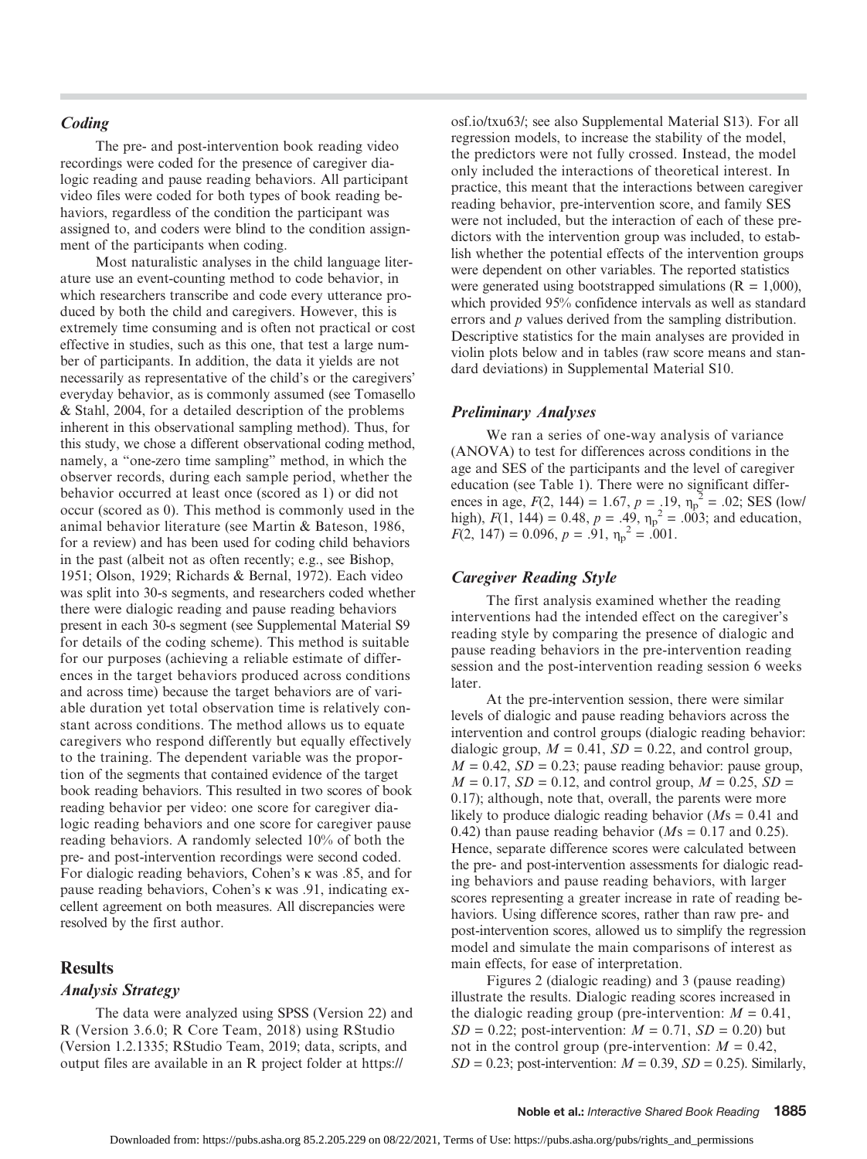# Coding

The pre- and post-intervention book reading video recordings were coded for the presence of caregiver dialogic reading and pause reading behaviors. All participant video files were coded for both types of book reading behaviors, regardless of the condition the participant was assigned to, and coders were blind to the condition assignment of the participants when coding.

Most naturalistic analyses in the child language literature use an event-counting method to code behavior, in which researchers transcribe and code every utterance produced by both the child and caregivers. However, this is extremely time consuming and is often not practical or cost effective in studies, such as this one, that test a large number of participants. In addition, the data it yields are not necessarily as representative of the child's or the caregivers' everyday behavior, as is commonly assumed (see Tomasello & Stahl, 2004, for a detailed description of the problems inherent in this observational sampling method). Thus, for this study, we chose a different observational coding method, namely, a "one-zero time sampling" method, in which the observer records, during each sample period, whether the behavior occurred at least once (scored as 1) or did not occur (scored as 0). This method is commonly used in the animal behavior literature (see Martin & Bateson, 1986, for a review) and has been used for coding child behaviors in the past (albeit not as often recently; e.g., see Bishop, 1951; Olson, 1929; Richards & Bernal, 1972). Each video was split into 30-s segments, and researchers coded whether there were dialogic reading and pause reading behaviors present in each 30-s segment (see Supplemental Material S9 for details of the coding scheme). This method is suitable for our purposes (achieving a reliable estimate of differences in the target behaviors produced across conditions and across time) because the target behaviors are of variable duration yet total observation time is relatively constant across conditions. The method allows us to equate caregivers who respond differently but equally effectively to the training. The dependent variable was the proportion of the segments that contained evidence of the target book reading behaviors. This resulted in two scores of book reading behavior per video: one score for caregiver dialogic reading behaviors and one score for caregiver pause reading behaviors. A randomly selected 10% of both the pre- and post-intervention recordings were second coded. For dialogic reading behaviors, Cohen's κ was .85, and for pause reading behaviors, Cohen's κ was .91, indicating excellent agreement on both measures. All discrepancies were resolved by the first author.

## **Results**

#### Analysis Strategy

The data were analyzed using SPSS (Version 22) and R (Version 3.6.0; R Core Team, 2018) using RStudio (Version 1.2.1335; RStudio Team, 2019; data, scripts, and output files are available in an R project folder at [https://](http://clinicaltrials.gov)

[osf.io/txu63/](http://clinicaltrials.gov); see also Supplemental Material S13). For all regression models, to increase the stability of the model, the predictors were not fully crossed. Instead, the model only included the interactions of theoretical interest. In practice, this meant that the interactions between caregiver reading behavior, pre-intervention score, and family SES were not included, but the interaction of each of these predictors with the intervention group was included, to establish whether the potential effects of the intervention groups were dependent on other variables. The reported statistics were generated using bootstrapped simulations ( $R = 1,000$ ), which provided 95% confidence intervals as well as standard errors and *p* values derived from the sampling distribution. Descriptive statistics for the main analyses are provided in violin plots below and in tables (raw score means and standard deviations) in Supplemental Material S10.

#### Preliminary Analyses

We ran a series of one-way analysis of variance (ANOVA) to test for differences across conditions in the age and SES of the participants and the level of caregiver education (see Table 1). There were no significant differences in age,  $F(2, 144) = 1.67$ ,  $p = .19$ ,  $\eta_p^2 = .02$ ; SES (low/ high),  $F(1, 144) = 0.48$ ,  $p = .49$ ,  $\eta_p^2 = .003$ ; and education,  $F(2, 147) = 0.096, p = .91, \eta_p^2 = .001.$ 

#### Caregiver Reading Style

The first analysis examined whether the reading interventions had the intended effect on the caregiver's reading style by comparing the presence of dialogic and pause reading behaviors in the pre-intervention reading session and the post-intervention reading session 6 weeks later.

At the pre-intervention session, there were similar levels of dialogic and pause reading behaviors across the intervention and control groups (dialogic reading behavior: dialogic group,  $M = 0.41$ ,  $SD = 0.22$ , and control group,  $M = 0.42$ ,  $SD = 0.23$ ; pause reading behavior: pause group,  $M = 0.17$ ,  $SD = 0.12$ , and control group,  $M = 0.25$ ,  $SD =$ 0.17); although, note that, overall, the parents were more likely to produce dialogic reading behavior ( $Ms = 0.41$  and 0.42) than pause reading behavior ( $Ms = 0.17$  and 0.25). Hence, separate difference scores were calculated between the pre- and post-intervention assessments for dialogic reading behaviors and pause reading behaviors, with larger scores representing a greater increase in rate of reading behaviors. Using difference scores, rather than raw pre- and post-intervention scores, allowed us to simplify the regression model and simulate the main comparisons of interest as main effects, for ease of interpretation.

Figures 2 (dialogic reading) and 3 (pause reading) illustrate the results. Dialogic reading scores increased in the dialogic reading group (pre-intervention:  $M = 0.41$ ,  $SD = 0.22$ ; post-intervention:  $M = 0.71$ ,  $SD = 0.20$ ) but not in the control group (pre-intervention:  $M = 0.42$ ,  $SD = 0.23$ ; post-intervention:  $M = 0.39$ ,  $SD = 0.25$ ). Similarly,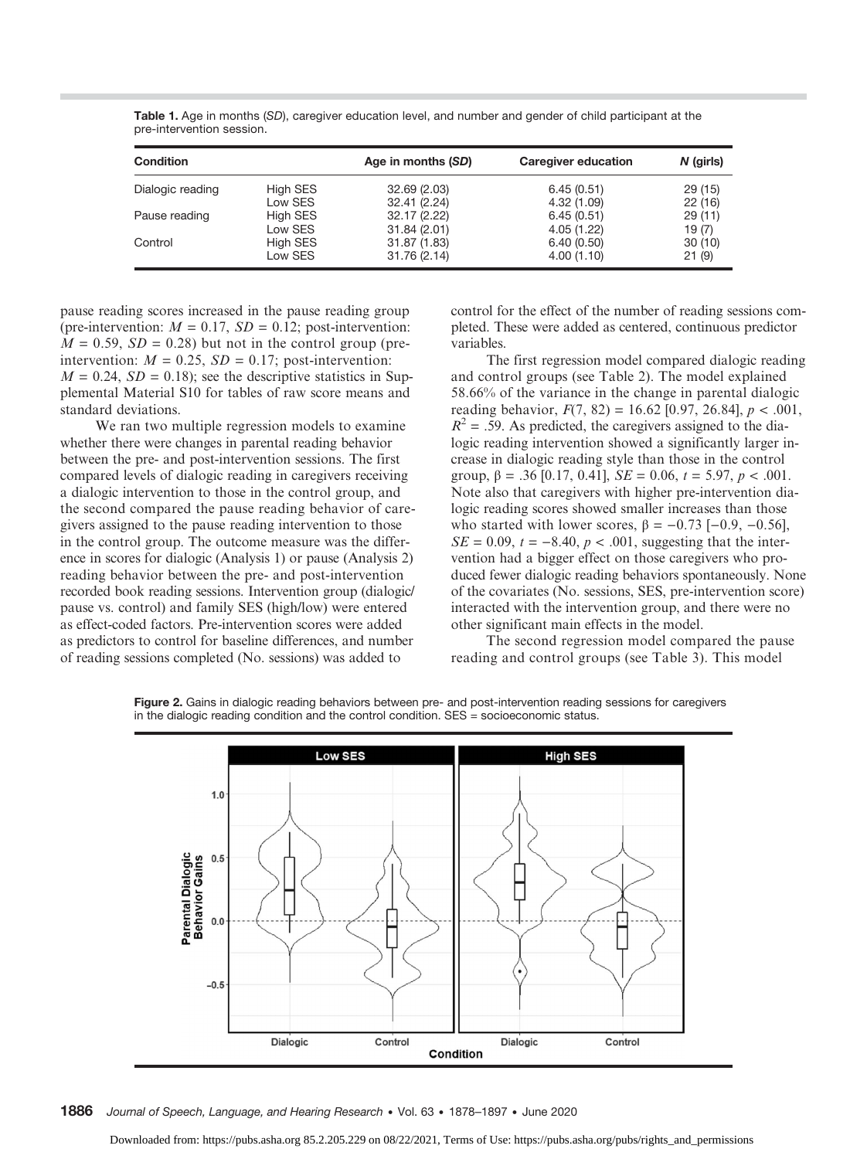Table 1. Age in months (SD), caregiver education level, and number and gender of child participant at the pre-intervention session.

| <b>Condition</b> |          | Age in months (SD) | Caregiver education | $N$ (girls) |
|------------------|----------|--------------------|---------------------|-------------|
| Dialogic reading | High SES | 32.69(2.03)        | 6.45(0.51)          | 29(15)      |
|                  | Low SES  | 32.41 (2.24)       | 4.32(1.09)          | 22(16)      |
| Pause reading    | High SES | 32.17 (2.22)       | 6.45(0.51)          | 29(11)      |
|                  | Low SES  | 31.84(2.01)        | 4.05(1.22)          | 19(7)       |
| Control          | High SES | 31.87 (1.83)       | 6.40(0.50)          | 30(10)      |
|                  | Low SES  | 31.76 (2.14)       | 4.00(1.10)          | 21(9)       |

pause reading scores increased in the pause reading group (pre-intervention:  $M = 0.17$ ,  $SD = 0.12$ ; post-intervention:  $M = 0.59$ ,  $SD = 0.28$ ) but not in the control group (preintervention:  $M = 0.25$ ,  $SD = 0.17$ ; post-intervention:  $M = 0.24$ ,  $SD = 0.18$ ; see the descriptive statistics in Supplemental Material S10 for tables of raw score means and standard deviations.

We ran two multiple regression models to examine whether there were changes in parental reading behavior between the pre- and post-intervention sessions. The first compared levels of dialogic reading in caregivers receiving a dialogic intervention to those in the control group, and the second compared the pause reading behavior of caregivers assigned to the pause reading intervention to those in the control group. The outcome measure was the difference in scores for dialogic (Analysis 1) or pause (Analysis 2) reading behavior between the pre- and post-intervention recorded book reading sessions. Intervention group (dialogic/ pause vs. control) and family SES (high/low) were entered as effect-coded factors. Pre-intervention scores were added as predictors to control for baseline differences, and number of reading sessions completed (No. sessions) was added to

control for the effect of the number of reading sessions completed. These were added as centered, continuous predictor variables.

The first regression model compared dialogic reading and control groups (see Table 2). The model explained 58.66% of the variance in the change in parental dialogic reading behavior,  $F(7, 82) = 16.62$  [0.97, 26.84],  $p < .001$ ,  $R^2$  = .59. As predicted, the caregivers assigned to the dialogic reading intervention showed a significantly larger increase in dialogic reading style than those in the control group,  $\beta = .36$  [0.17, 0.41],  $SE = 0.06$ ,  $t = 5.97$ ,  $p < .001$ . Note also that caregivers with higher pre-intervention dialogic reading scores showed smaller increases than those who started with lower scores,  $\beta = -0.73$  [-0.9, -0.56],  $SE = 0.09$ ,  $t = -8.40$ ,  $p < .001$ , suggesting that the intervention had a bigger effect on those caregivers who produced fewer dialogic reading behaviors spontaneously. None of the covariates (No. sessions, SES, pre-intervention score) interacted with the intervention group, and there were no other significant main effects in the model.

The second regression model compared the pause reading and control groups (see Table 3). This model



Figure 2. Gains in dialogic reading behaviors between pre- and post-intervention reading sessions for caregivers in the dialogic reading condition and the control condition. SES = socioeconomic status.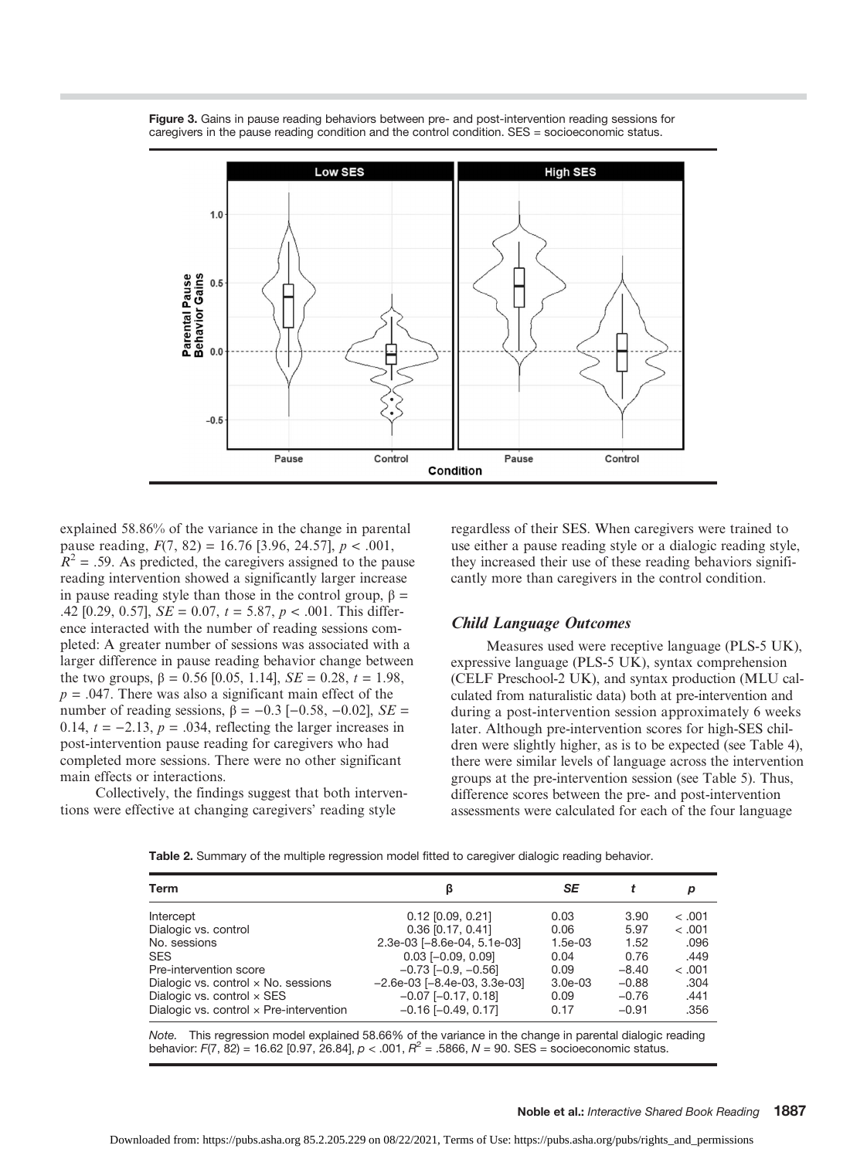

Figure 3. Gains in pause reading behaviors between pre- and post-intervention reading sessions for caregivers in the pause reading condition and the control condition. SES = socioeconomic status.

explained 58.86% of the variance in the change in parental pause reading,  $F(7, 82) = 16.76$  [3.96, 24.57],  $p < .001$ ,  $R^2$  = .59. As predicted, the caregivers assigned to the pause reading intervention showed a significantly larger increase in pause reading style than those in the control group,  $\beta$  = .42 [0.29, 0.57],  $SE = 0.07$ ,  $t = 5.87$ ,  $p < .001$ . This difference interacted with the number of reading sessions completed: A greater number of sessions was associated with a larger difference in pause reading behavior change between the two groups,  $β = 0.56$  [0.05, 1.14],  $SE = 0.28$ ,  $t = 1.98$ ,  $p = .047$ . There was also a significant main effect of the number of reading sessions,  $β = -0.3$  [-0.58, -0.02],  $SE =$ 0.14,  $t = -2.13$ ,  $p = .034$ , reflecting the larger increases in post-intervention pause reading for caregivers who had completed more sessions. There were no other significant main effects or interactions.

Collectively, the findings suggest that both interventions were effective at changing caregivers' reading style

regardless of their SES. When caregivers were trained to use either a pause reading style or a dialogic reading style, they increased their use of these reading behaviors significantly more than caregivers in the control condition.

#### Child Language Outcomes

Measures used were receptive language (PLS-5 UK), expressive language (PLS-5 UK), syntax comprehension (CELF Preschool-2 UK), and syntax production (MLU calculated from naturalistic data) both at pre-intervention and during a post-intervention session approximately 6 weeks later. Although pre-intervention scores for high-SES children were slightly higher, as is to be expected (see Table 4), there were similar levels of language across the intervention groups at the pre-intervention session (see Table 5). Thus, difference scores between the pre- and post-intervention assessments were calculated for each of the four language

Table 2. Summary of the multiple regression model fitted to caregiver dialogic reading behavior.

| Term                                           |                                    | SE        |         | р      |
|------------------------------------------------|------------------------------------|-----------|---------|--------|
| Intercept                                      | $0.12$ [0.09, 0.21]                | 0.03      | 3.90    | < 0.01 |
| Dialogic vs. control                           | $0.36$ [0.17, 0.41]                | 0.06      | 5.97    | < .001 |
| No. sessions                                   | 2.3e-03 [-8.6e-04, 5.1e-03]        | $1.5e-03$ | 1.52    | .096   |
| <b>SES</b>                                     | $0.03$ [-0.09, 0.09]               | 0.04      | 0.76    | .449   |
| Pre-intervention score                         | $-0.73$ [ $-0.9$ , $-0.56$ ]       | 0.09      | $-8.40$ | < 0.01 |
| Dialogic vs. control x No. sessions            | $-2.6e-03$ [ $-8.4e-03$ , 3.3e-03] | $3.0e-03$ | $-0.88$ | .304   |
| Dialogic vs. control $\times$ SES              | $-0.07$ [ $-0.17$ , 0.18]          | 0.09      | $-0.76$ | .441   |
| Dialogic vs. control $\times$ Pre-intervention | $-0.16$ $[-0.49, 0.17]$            | 0.17      | $-0.91$ | .356   |

Note. This regression model explained 58.66% of the variance in the change in parental dialogic reading behavior: F(7, 82) = 16.62 [0.97, 26.84],  $p < .001$ ,  $R^2 = .5866$ ,  $N = 90$ . SES = socioeconomic status.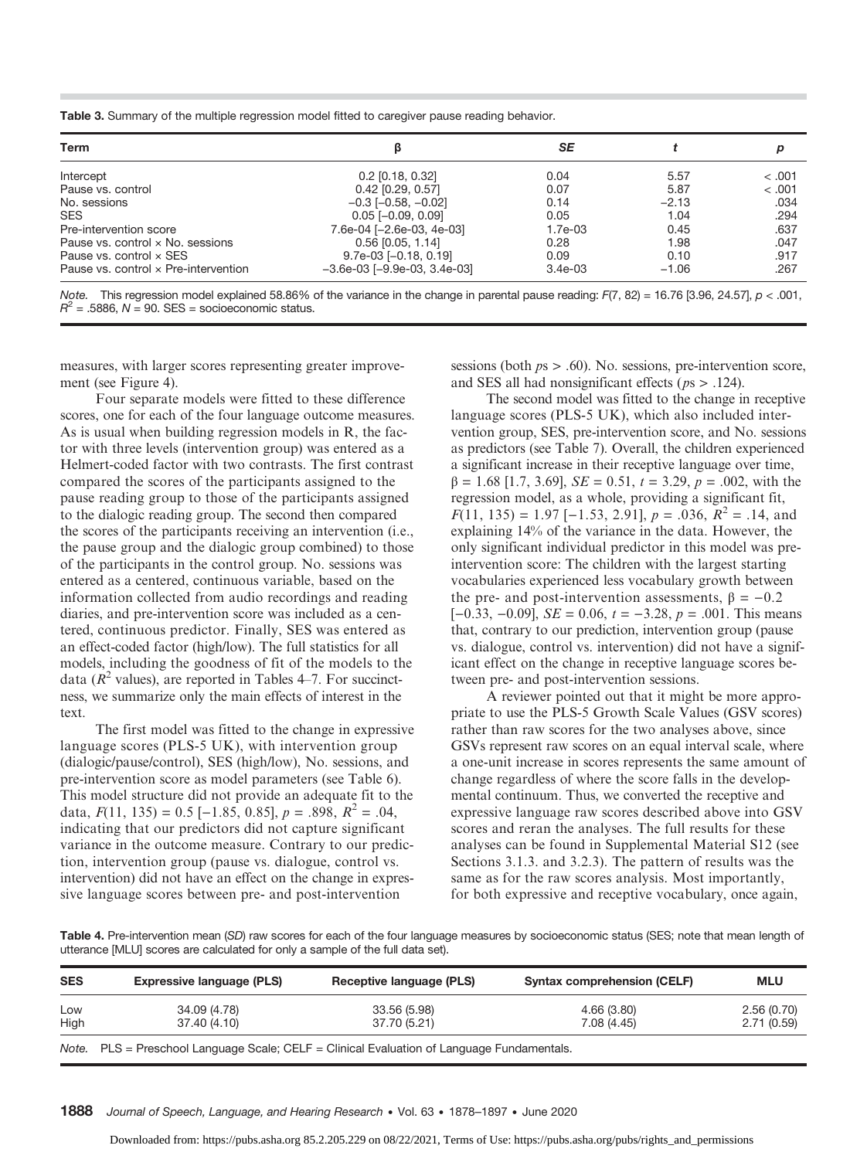Table 3. Summary of the multiple regression model fitted to caregiver pause reading behavior.

| Term                                 |                                       | SE        |         |         |
|--------------------------------------|---------------------------------------|-----------|---------|---------|
|                                      |                                       |           |         |         |
| Intercept                            | $0.2$ [0.18, 0.32]                    | 0.04      | 5.57    | < 0.001 |
| Pause vs. control                    | $0.42$ [0.29, 0.57]                   | 0.07      | 5.87    | < .001  |
| No. sessions                         | $-0.3$ [ $-0.58$ , $-0.02$ ]          | 0.14      | $-2.13$ | .034    |
| <b>SES</b>                           | $0.05$ [-0.09, 0.09]                  | 0.05      | 1.04    | .294    |
| Pre-intervention score               | 7.6e-04 [-2.6e-03, 4e-03]             | 1.7e-03   | 0.45    | .637    |
| Pause vs. control x No. sessions     | $0.56$ [0.05, 1.14]                   | 0.28      | 1.98    | .047    |
| Pause vs. control x SES              | $9.7e-03$ [-0.18, 0.19]               | 0.09      | 0.10    | .917    |
| Pause vs. control x Pre-intervention | $-3.6e-03$ [ $-9.9e-03$ , $3.4e-03$ ] | $3.4e-03$ | $-1.06$ | .267    |

Note. This regression model explained 58.86% of the variance in the change in parental pause reading:  $F(7, 82) = 16.76$  [3.96, 24.57],  $p < .001$ ,  $R^2$  = .5886, N = 90. SES = socioeconomic status.

measures, with larger scores representing greater improvement (see Figure 4).

Four separate models were fitted to these difference scores, one for each of the four language outcome measures. As is usual when building regression models in R, the factor with three levels (intervention group) was entered as a Helmert-coded factor with two contrasts. The first contrast compared the scores of the participants assigned to the pause reading group to those of the participants assigned to the dialogic reading group. The second then compared the scores of the participants receiving an intervention (i.e., the pause group and the dialogic group combined) to those of the participants in the control group. No. sessions was entered as a centered, continuous variable, based on the information collected from audio recordings and reading diaries, and pre-intervention score was included as a centered, continuous predictor. Finally, SES was entered as an effect-coded factor (high/low). The full statistics for all models, including the goodness of fit of the models to the data ( $R^2$  values), are reported in Tables 4–7. For succinctness, we summarize only the main effects of interest in the text.

The first model was fitted to the change in expressive language scores (PLS-5 UK), with intervention group (dialogic/pause/control), SES (high/low), No. sessions, and pre-intervention score as model parameters (see Table 6). This model structure did not provide an adequate fit to the data,  $F(11, 135) = 0.5 [-1.85, 0.85], p = .898, R^2 = .04,$ indicating that our predictors did not capture significant variance in the outcome measure. Contrary to our prediction, intervention group (pause vs. dialogue, control vs. intervention) did not have an effect on the change in expressive language scores between pre- and post-intervention

sessions (both  $ps > .60$ ). No. sessions, pre-intervention score, and SES all had nonsignificant effects ( $ps$  > .124).

The second model was fitted to the change in receptive language scores (PLS-5 UK), which also included intervention group, SES, pre-intervention score, and No. sessions as predictors (see Table 7). Overall, the children experienced a significant increase in their receptive language over time,  $β = 1.68$  [1.7, 3.69], *SE* = 0.51,  $t = 3.29$ ,  $p = .002$ , with the regression model, as a whole, providing a significant fit,  $F(11, 135) = 1.97$  [-1.53, 2.91],  $p = .036$ ,  $R^2 = .14$ , and explaining 14% of the variance in the data. However, the only significant individual predictor in this model was preintervention score: The children with the largest starting vocabularies experienced less vocabulary growth between the pre- and post-intervention assessments,  $\beta = -0.2$  $[-0.33, -0.09]$ ,  $SE = 0.06$ ,  $t = -3.28$ ,  $p = .001$ . This means that, contrary to our prediction, intervention group (pause vs. dialogue, control vs. intervention) did not have a significant effect on the change in receptive language scores between pre- and post-intervention sessions.

A reviewer pointed out that it might be more appropriate to use the PLS-5 Growth Scale Values (GSV scores) rather than raw scores for the two analyses above, since GSVs represent raw scores on an equal interval scale, where a one-unit increase in scores represents the same amount of change regardless of where the score falls in the developmental continuum. Thus, we converted the receptive and expressive language raw scores described above into GSV scores and reran the analyses. The full results for these analyses can be found in Supplemental Material S12 (see Sections 3.1.3. and 3.2.3). The pattern of results was the same as for the raw scores analysis. Most importantly, for both expressive and receptive vocabulary, once again,

Table 4. Pre-intervention mean (SD) raw scores for each of the four language measures by socioeconomic status (SES; note that mean length of utterance [MLU] scores are calculated for only a sample of the full data set).

| <b>SES</b>  | <b>Expressive language (PLS)</b>                                                           | Receptive language (PLS)     | <b>Syntax comprehension (CELF)</b> | <b>MLU</b>               |
|-------------|--------------------------------------------------------------------------------------------|------------------------------|------------------------------------|--------------------------|
| Low<br>High | 34.09 (4.78)<br>37.40 (4.10)                                                               | 33.56 (5.98)<br>37.70 (5.21) | 4.66(3.80)<br>7.08 (4.45)          | 2.56(0.70)<br>2.71(0.59) |
|             | Note. PLS = Preschool Language Scale; CELF = Clinical Evaluation of Language Fundamentals. |                              |                                    |                          |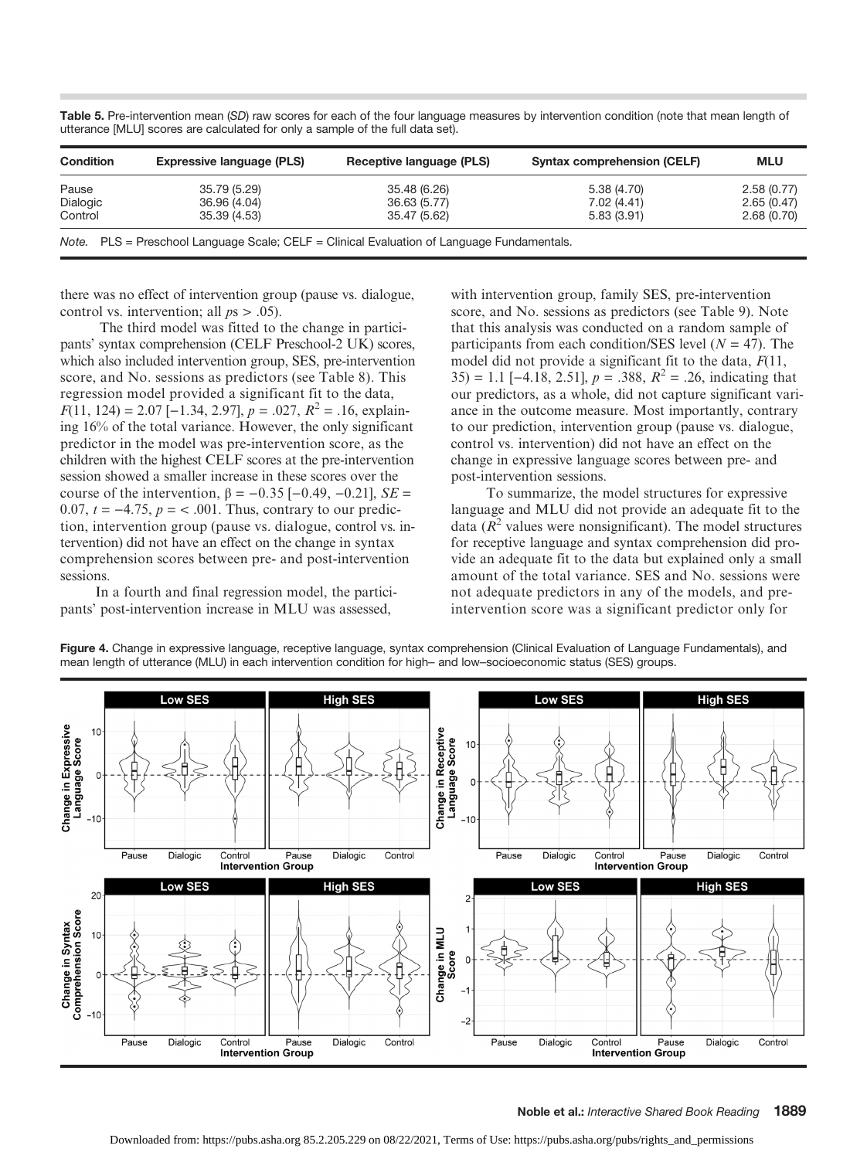| <b>Condition</b> | <b>Expressive language (PLS)</b>                                                           | Receptive language (PLS) | <b>Syntax comprehension (CELF)</b> | <b>MLU</b> |
|------------------|--------------------------------------------------------------------------------------------|--------------------------|------------------------------------|------------|
| Pause            | 35.79 (5.29)                                                                               | 35.48 (6.26)             | 5.38(4.70)                         | 2.58(0.77) |
| Dialogic         | 36.96 (4.04)                                                                               | 36.63 (5.77)             | 7.02 (4.41)                        | 2.65(0.47) |
| Control          | 35.39 (4.53)                                                                               | 35.47 (5.62)             | 5.83(3.91)                         | 2.68(0.70) |
|                  | Note. PLS = Preschool Language Scale; CELF = Clinical Evaluation of Language Fundamentals. |                          |                                    |            |

Table 5. Pre-intervention mean (SD) raw scores for each of the four language measures by intervention condition (note that mean length of utterance [MLU] scores are calculated for only a sample of the full data set).

there was no effect of intervention group (pause vs. dialogue, control vs. intervention; all  $ps > .05$ ).

The third model was fitted to the change in participants' syntax comprehension (CELF Preschool-2 UK) scores, which also included intervention group, SES, pre-intervention score, and No. sessions as predictors (see Table 8). This regression model provided a significant fit to the data,  $F(11, 124) = 2.07 [-1.34, 2.97], p = .027, R<sup>2</sup> = .16, explain$ ing 16% of the total variance. However, the only significant predictor in the model was pre-intervention score, as the children with the highest CELF scores at the pre-intervention session showed a smaller increase in these scores over the course of the intervention,  $\beta = -0.35$  [-0.49, -0.21], SE = 0.07,  $t = -4.75$ ,  $p = < .001$ . Thus, contrary to our prediction, intervention group (pause vs. dialogue, control vs. intervention) did not have an effect on the change in syntax comprehension scores between pre- and post-intervention sessions.

In a fourth and final regression model, the participants' post-intervention increase in MLU was assessed,

with intervention group, family SES, pre-intervention score, and No. sessions as predictors (see Table 9). Note that this analysis was conducted on a random sample of participants from each condition/SES level ( $N = 47$ ). The model did not provide a significant fit to the data,  $F(11, 1)$ 35) = 1.1 [−4.18, 2.51],  $p = .388$ ,  $R^2 = .26$ , indicating that our predictors, as a whole, did not capture significant variance in the outcome measure. Most importantly, contrary to our prediction, intervention group (pause vs. dialogue, control vs. intervention) did not have an effect on the change in expressive language scores between pre- and post-intervention sessions.

To summarize, the model structures for expressive language and MLU did not provide an adequate fit to the data  $(R^2$  values were nonsignificant). The model structures for receptive language and syntax comprehension did provide an adequate fit to the data but explained only a small amount of the total variance. SES and No. sessions were not adequate predictors in any of the models, and preintervention score was a significant predictor only for



Figure 4. Change in expressive language, receptive language, syntax comprehension (Clinical Evaluation of Language Fundamentals), and mean length of utterance (MLU) in each intervention condition for high– and low–socioeconomic status (SES) groups.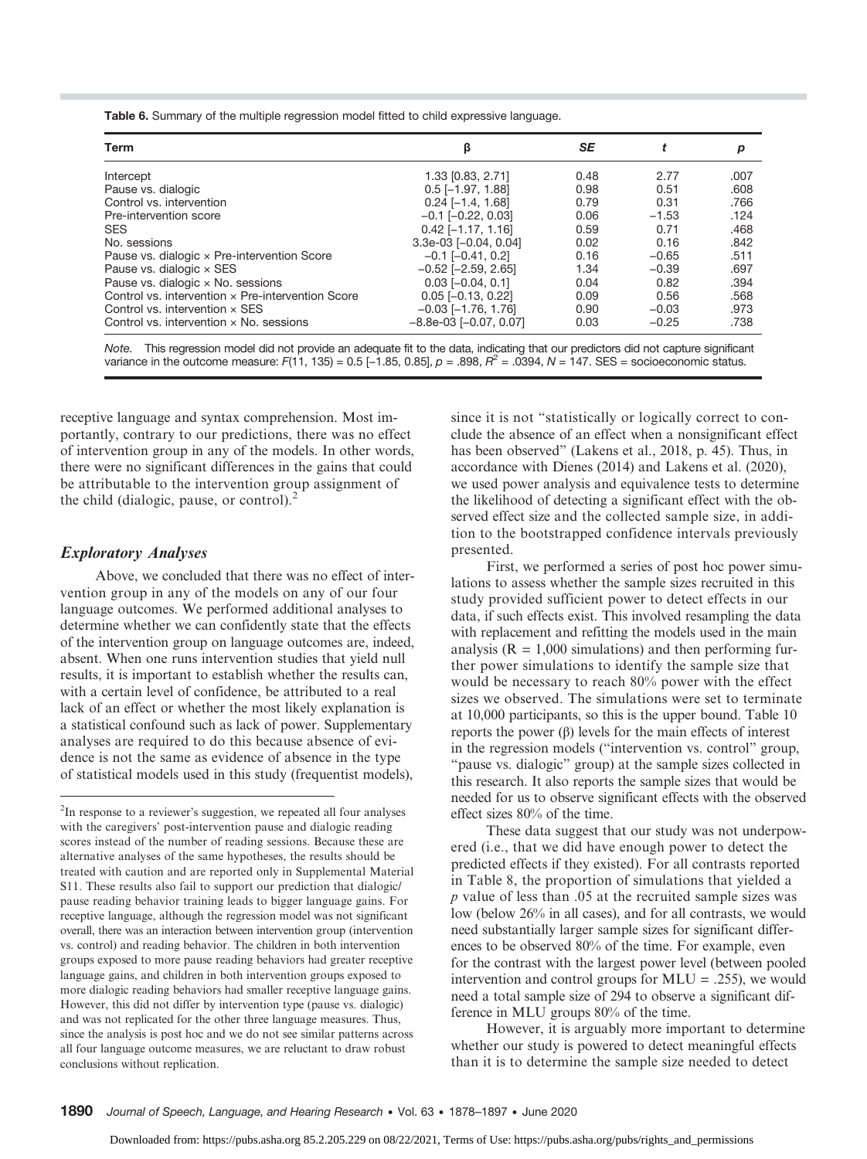Table 6. Summary of the multiple regression model fitted to child expressive language.

| <b>Term</b>                                       | β                            | SE   |         |      |
|---------------------------------------------------|------------------------------|------|---------|------|
| Intercept                                         | 1.33 [0.83, 2.71]            | 0.48 | 2.77    | .007 |
| Pause vs. dialogic                                | $0.5$ [-1.97, 1.88]          | 0.98 | 0.51    | .608 |
| Control vs. intervention                          | $0.24$ [-1.4, 1.68]          | 0.79 | 0.31    | .766 |
| Pre-intervention score                            | $-0.1$ $[-0.22, 0.03]$       | 0.06 | $-1.53$ | .124 |
| <b>SES</b>                                        | $0.42$ [-1.17, 1.16]         | 0.59 | 0.71    | .468 |
| No. sessions                                      | $3.3e-03$ [-0.04, 0.04]      | 0.02 | 0.16    | .842 |
| Pause vs. dialogic x Pre-intervention Score       | $-0.1$ [ $-0.41$ , 0.2]      | 0.16 | $-0.65$ | .511 |
| Pause vs. dialogic $\times$ SES                   | $-0.52$ [ $-2.59$ , 2.65]    | 1.34 | $-0.39$ | .697 |
| Pause vs. dialogic $\times$ No. sessions          | $0.03$ [ $-0.04$ , $0.1$ ]   | 0.04 | 0.82    | .394 |
| Control vs. intervention x Pre-intervention Score | $0.05$ [-0.13, 0.22]         | 0.09 | 0.56    | .568 |
| Control vs. intervention $\times$ SES             | $-0.03$ [ $-1.76$ , 1.76]    | 0.90 | $-0.03$ | .973 |
| Control vs. intervention $\times$ No. sessions    | $-8.8e-03$ [ $-0.07, 0.07$ ] | 0.03 | $-0.25$ | .738 |

Note. This regression model did not provide an adequate fit to the data, indicating that our predictors did not capture significant variance in the outcome measure: F(11, 135) = 0.5 [-1.85, 0.85],  $p = 0.898$ ,  $R^2 = 0.0394$ ,  $N = 147$ . SES = socioeconomic status.

receptive language and syntax comprehension. Most importantly, contrary to our predictions, there was no effect of intervention group in any of the models. In other words, there were no significant differences in the gains that could be attributable to the intervention group assignment of the child (dialogic, pause, or control).<sup>2</sup>

#### Exploratory Analyses

Above, we concluded that there was no effect of intervention group in any of the models on any of our four language outcomes. We performed additional analyses to determine whether we can confidently state that the effects of the intervention group on language outcomes are, indeed, absent. When one runs intervention studies that yield null results, it is important to establish whether the results can, with a certain level of confidence, be attributed to a real lack of an effect or whether the most likely explanation is a statistical confound such as lack of power. Supplementary analyses are required to do this because absence of evidence is not the same as evidence of absence in the type of statistical models used in this study (frequentist models),

since it is not "statistically or logically correct to conclude the absence of an effect when a nonsignificant effect has been observed" (Lakens et al., 2018, p. 45). Thus, in accordance with Dienes (2014) and Lakens et al. (2020), we used power analysis and equivalence tests to determine the likelihood of detecting a significant effect with the observed effect size and the collected sample size, in addition to the bootstrapped confidence intervals previously presented.

First, we performed a series of post hoc power simulations to assess whether the sample sizes recruited in this study provided sufficient power to detect effects in our data, if such effects exist. This involved resampling the data with replacement and refitting the models used in the main analysis ( $R = 1,000$  simulations) and then performing further power simulations to identify the sample size that would be necessary to reach 80% power with the effect sizes we observed. The simulations were set to terminate at 10,000 participants, so this is the upper bound. Table 10 reports the power (β) levels for the main effects of interest in the regression models ("intervention vs. control" group, "pause vs. dialogic" group) at the sample sizes collected in this research. It also reports the sample sizes that would be needed for us to observe significant effects with the observed effect sizes 80% of the time.

These data suggest that our study was not underpowered (i.e., that we did have enough power to detect the predicted effects if they existed). For all contrasts reported in Table 8, the proportion of simulations that yielded a p value of less than .05 at the recruited sample sizes was low (below 26% in all cases), and for all contrasts, we would need substantially larger sample sizes for significant differences to be observed 80% of the time. For example, even for the contrast with the largest power level (between pooled intervention and control groups for  $MLU = .255$ , we would need a total sample size of 294 to observe a significant difference in MLU groups 80% of the time.

However, it is arguably more important to determine whether our study is powered to detect meaningful effects than it is to determine the sample size needed to detect

<sup>&</sup>lt;sup>2</sup>In response to a reviewer's suggestion, we repeated all four analyses with the caregivers' post-intervention pause and dialogic reading scores instead of the number of reading sessions. Because these are alternative analyses of the same hypotheses, the results should be treated with caution and are reported only in Supplemental Material S11. These results also fail to support our prediction that dialogic/ pause reading behavior training leads to bigger language gains. For receptive language, although the regression model was not significant overall, there was an interaction between intervention group (intervention vs. control) and reading behavior. The children in both intervention groups exposed to more pause reading behaviors had greater receptive language gains, and children in both intervention groups exposed to more dialogic reading behaviors had smaller receptive language gains. However, this did not differ by intervention type (pause vs. dialogic) and was not replicated for the other three language measures. Thus, since the analysis is post hoc and we do not see similar patterns across all four language outcome measures, we are reluctant to draw robust conclusions without replication.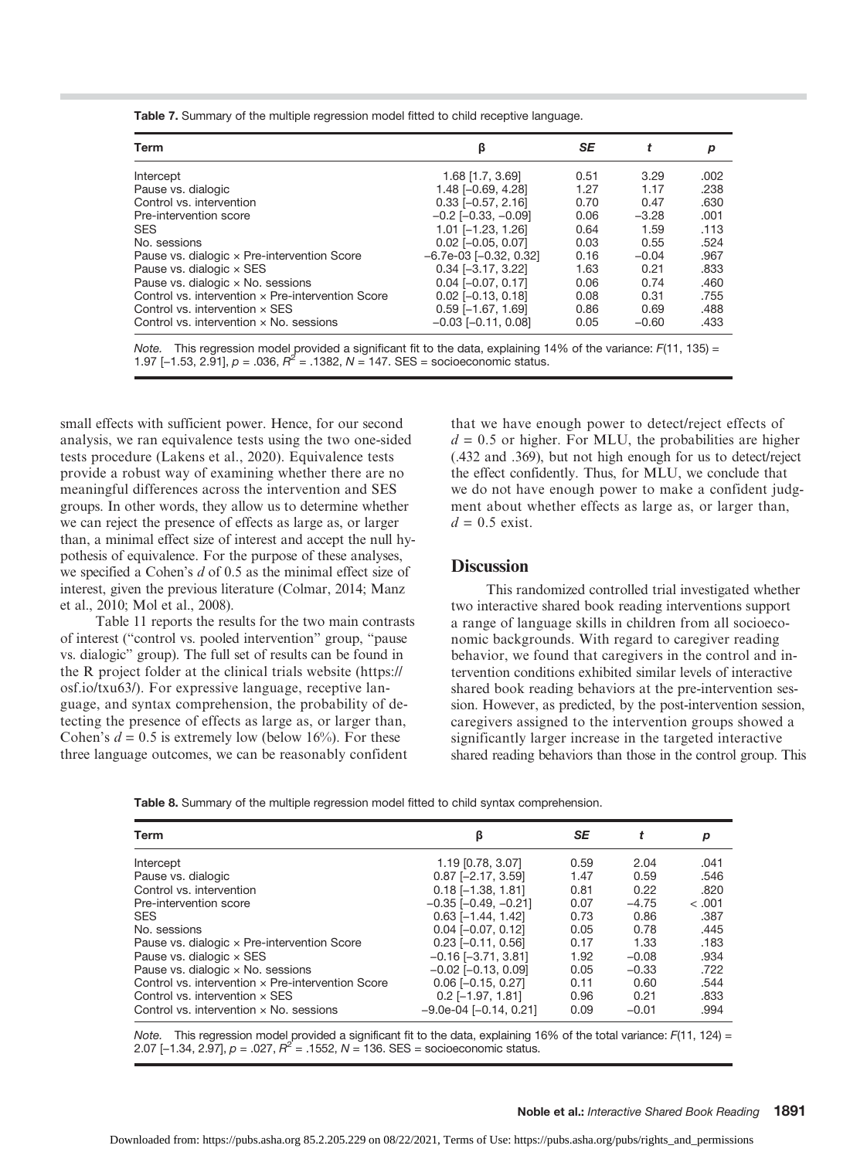Table 7. Summary of the multiple regression model fitted to child receptive language.

| β                            | SE   | t       | р    |
|------------------------------|------|---------|------|
| 1.68 [1.7, 3.69]             | 0.51 | 3.29    | .002 |
| $1.48$ [-0.69, 4.28]         | 1.27 | 1.17    | .238 |
| $0.33$ [-0.57, 2.16]         | 0.70 | 0.47    | .630 |
| $-0.2$ [ $-0.33$ , $-0.09$ ] | 0.06 | $-3.28$ | .001 |
| $1.01$ [-1.23, 1.26]         | 0.64 | 1.59    | .113 |
| $0.02$ [-0.05, 0.07]         | 0.03 | 0.55    | .524 |
| $-6.7e-03$ [ $-0.32$ , 0.32] | 0.16 | $-0.04$ | .967 |
| $0.34$ [-3.17, 3.22]         | 1.63 | 0.21    | .833 |
| $0.04$ [ $-0.07$ , $0.17$ ]  | 0.06 | 0.74    | .460 |
| $0.02$ [-0.13, 0.18]         | 0.08 | 0.31    | .755 |
| $0.59$ [-1.67, 1.69]         | 0.86 | 0.69    | .488 |
| $-0.03$ [ $-0.11$ , 0.08]    | 0.05 | $-0.60$ | .433 |
|                              |      |         |      |

Note. This regression model provided a significant fit to the data, explaining 14% of the variance: F(11, 135) =<br>1.97 [–1.53, 2.91], *p* = .036, *R*<sup>2</sup> = .1382, N = 147. SES = socioeconomic status.

small effects with sufficient power. Hence, for our second analysis, we ran equivalence tests using the two one-sided tests procedure (Lakens et al., 2020). Equivalence tests provide a robust way of examining whether there are no meaningful differences across the intervention and SES groups. In other words, they allow us to determine whether we can reject the presence of effects as large as, or larger than, a minimal effect size of interest and accept the null hypothesis of equivalence. For the purpose of these analyses, we specified a Cohen's  $d$  of 0.5 as the minimal effect size of interest, given the previous literature (Colmar, 2014; Manz et al., 2010; Mol et al., 2008).

Table 11 reports the results for the two main contrasts of interest ("control vs. pooled intervention" group, "pause vs. dialogic" group). The full set of results can be found in the R project folder at the clinical trials website [\(https://](https://osf.io/txu63/) [osf.io/txu63/\)](https://osf.io/txu63/). For expressive language, receptive language, and syntax comprehension, the probability of detecting the presence of effects as large as, or larger than, Cohen's  $d = 0.5$  is extremely low (below 16%). For these three language outcomes, we can be reasonably confident

that we have enough power to detect/reject effects of  $d = 0.5$  or higher. For MLU, the probabilities are higher (.432 and .369), but not high enough for us to detect/reject the effect confidently. Thus, for MLU, we conclude that we do not have enough power to make a confident judgment about whether effects as large as, or larger than,  $d = 0.5$  exist.

# **Discussion**

This randomized controlled trial investigated whether two interactive shared book reading interventions support a range of language skills in children from all socioeconomic backgrounds. With regard to caregiver reading behavior, we found that caregivers in the control and intervention conditions exhibited similar levels of interactive shared book reading behaviors at the pre-intervention session. However, as predicted, by the post-intervention session, caregivers assigned to the intervention groups showed a significantly larger increase in the targeted interactive shared reading behaviors than those in the control group. This

Table 8. Summary of the multiple regression model fitted to child syntax comprehension.

| Term                                              | ß                            | SE   |         | р      |
|---------------------------------------------------|------------------------------|------|---------|--------|
| Intercept                                         | 1.19 [0.78, 3.07]            | 0.59 | 2.04    | .041   |
| Pause vs. dialogic                                | $0.87$ [-2.17, 3.59]         | 1.47 | 0.59    | .546   |
| Control vs. intervention                          | $0.18$ [-1.38, 1.81]         | 0.81 | 0.22    | .820   |
| Pre-intervention score                            | $-0.35$ $[-0.49, -0.21]$     | 0.07 | $-4.75$ | < .001 |
| <b>SES</b>                                        | $0.63$ [-1.44, 1.42]         | 0.73 | 0.86    | .387   |
| No. sessions                                      | $0.04$ [ $-0.07$ , $0.12$ ]  | 0.05 | 0.78    | .445   |
| Pause vs. dialogic x Pre-intervention Score       | $0.23$ [-0.11, 0.56]         | 0.17 | 1.33    | .183   |
| Pause vs. dialogic $\times$ SES                   | $-0.16$ $[-3.71, 3.81]$      | 1.92 | $-0.08$ | .934   |
| Pause vs. dialogic $\times$ No. sessions          | $-0.02$ [ $-0.13$ , 0.09]    | 0.05 | $-0.33$ | .722   |
| Control vs. intervention x Pre-intervention Score | $0.06$ [-0.15, 0.27]         | 0.11 | 0.60    | .544   |
| Control vs. intervention $\times$ SES             | $0.2$ [-1.97, 1.81]          | 0.96 | 0.21    | .833   |
| Control vs. intervention $\times$ No. sessions    | $-9.0e-04$ [ $-0.14$ , 0.21] | 0.09 | $-0.01$ | .994   |

Note. This regression model provided a significant fit to the data, explaining 16% of the total variance:  $F(11, 124) =$ 2.07 [-1.34, 2.97],  $p = .027$ ,  $R^2 = .1552$ ,  $N = 136$ . SES = socioeconomic status.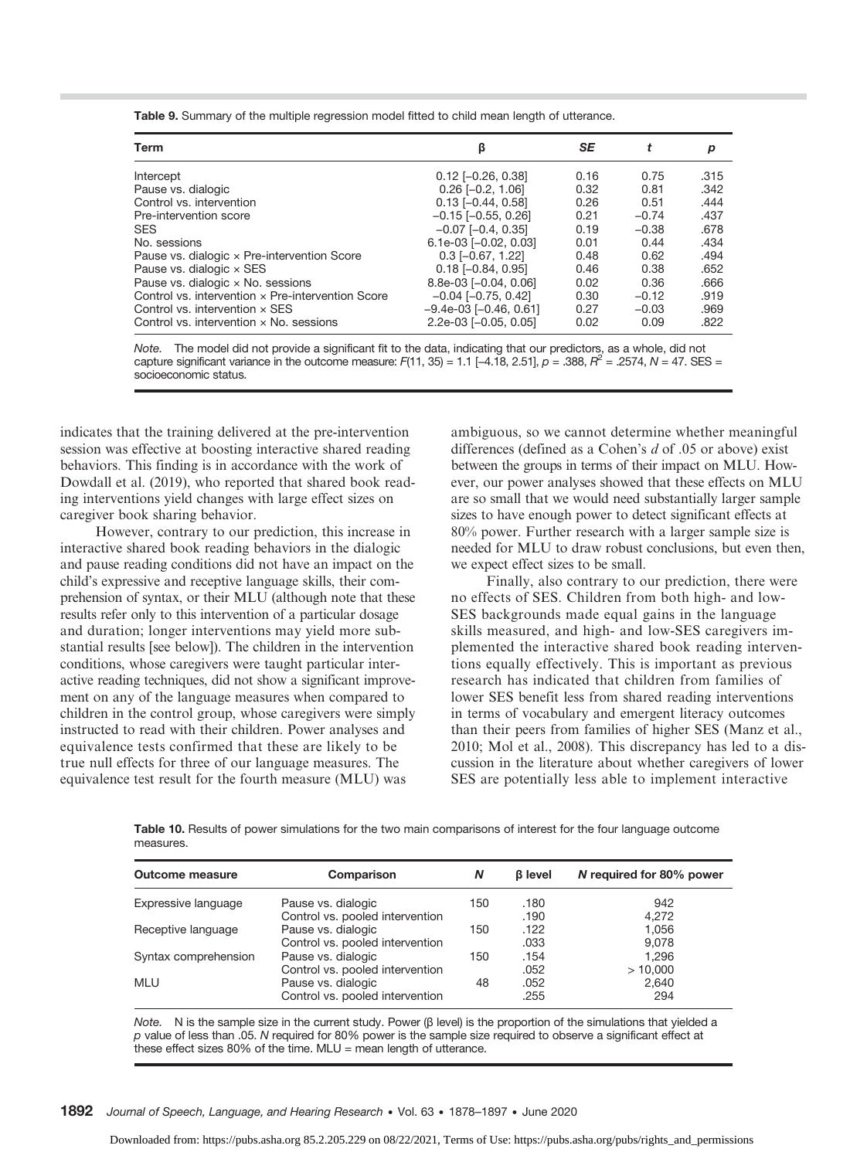Table 9. Summary of the multiple regression model fitted to child mean length of utterance.

| Term                                              | β                            | SE   |         | р    |
|---------------------------------------------------|------------------------------|------|---------|------|
| Intercept                                         | $0.12$ [-0.26, 0.38]         | 0.16 | 0.75    | .315 |
| Pause vs. dialogic                                | $0.26$ $[-0.2, 1.06]$        | 0.32 | 0.81    | .342 |
| Control vs. intervention                          | $0.13$ [-0.44, 0.58]         | 0.26 | 0.51    | .444 |
| Pre-intervention score                            | $-0.15$ [ $-0.55$ , 0.26]    | 0.21 | $-0.74$ | .437 |
| <b>SES</b>                                        | $-0.07$ $[-0.4, 0.35]$       | 0.19 | $-0.38$ | .678 |
| No. sessions                                      | $6.1e-03$ [-0.02, 0.03]      | 0.01 | 0.44    | .434 |
| Pause vs. dialogic x Pre-intervention Score       | $0.3$ [-0.67, 1.22]          | 0.48 | 0.62    | .494 |
| Pause vs. dialogic $\times$ SES                   | $0.18$ [-0.84, 0.95]         | 0.46 | 0.38    | .652 |
| Pause vs. dialogic x No. sessions                 | 8.8e-03 [-0.04, 0.06]        | 0.02 | 0.36    | .666 |
| Control vs. intervention x Pre-intervention Score | $-0.04$ [ $-0.75$ , 0.42]    | 0.30 | $-0.12$ | .919 |
| Control vs. intervention $\times$ SES             | $-9.4e-03$ [ $-0.46$ , 0.61] | 0.27 | $-0.03$ | .969 |
| Control vs. intervention $\times$ No. sessions    | 2.2e-03 [-0.05, 0.05]        | 0.02 | 0.09    | .822 |

Note. The model did not provide a significant fit to the data, indicating that our predictors, as a whole, did not capture significant variance in the outcome measure:  $F(11, 35) = 1.1$  [-4.18, 2.51],  $p = .388$ ,  $R^2 = .2574$ ,  $N = 47$ . SES = socioeconomic status.

indicates that the training delivered at the pre-intervention session was effective at boosting interactive shared reading behaviors. This finding is in accordance with the work of Dowdall et al. (2019), who reported that shared book reading interventions yield changes with large effect sizes on caregiver book sharing behavior.

However, contrary to our prediction, this increase in interactive shared book reading behaviors in the dialogic and pause reading conditions did not have an impact on the child's expressive and receptive language skills, their comprehension of syntax, or their MLU (although note that these results refer only to this intervention of a particular dosage and duration; longer interventions may yield more substantial results [see below]). The children in the intervention conditions, whose caregivers were taught particular interactive reading techniques, did not show a significant improvement on any of the language measures when compared to children in the control group, whose caregivers were simply instructed to read with their children. Power analyses and equivalence tests confirmed that these are likely to be true null effects for three of our language measures. The equivalence test result for the fourth measure (MLU) was

ambiguous, so we cannot determine whether meaningful differences (defined as a Cohen's  $d$  of .05 or above) exist between the groups in terms of their impact on MLU. However, our power analyses showed that these effects on MLU are so small that we would need substantially larger sample sizes to have enough power to detect significant effects at 80% power. Further research with a larger sample size is needed for MLU to draw robust conclusions, but even then, we expect effect sizes to be small.

Finally, also contrary to our prediction, there were no effects of SES. Children from both high- and low-SES backgrounds made equal gains in the language skills measured, and high- and low-SES caregivers implemented the interactive shared book reading interventions equally effectively. This is important as previous research has indicated that children from families of lower SES benefit less from shared reading interventions in terms of vocabulary and emergent literacy outcomes than their peers from families of higher SES (Manz et al., 2010; Mol et al., 2008). This discrepancy has led to a discussion in the literature about whether caregivers of lower SES are potentially less able to implement interactive

Table 10. Results of power simulations for the two main comparisons of interest for the four language outcome measures.

| <b>Outcome measure</b> | Comparison                      | Ν   | <b>B</b> level | N required for 80% power |
|------------------------|---------------------------------|-----|----------------|--------------------------|
| Expressive language    | Pause vs. dialogic              | 150 | .180           | 942                      |
|                        | Control vs. pooled intervention |     | .190           | 4,272                    |
| Receptive language     | Pause vs. dialogic              | 150 | .122           | 1,056                    |
|                        | Control vs. pooled intervention |     | .033           | 9.078                    |
| Syntax comprehension   | Pause vs. dialogic              | 150 | .154           | 1.296                    |
|                        | Control vs. pooled intervention |     | .052           | >10,000                  |
| <b>MLU</b>             | Pause vs. dialogic              | 48  | .052           | 2,640                    |
|                        | Control vs. pooled intervention |     | .255           | 294                      |

Note. N is the sample size in the current study. Power (β level) is the proportion of the simulations that yielded a  $p$  value of less than .05. N required for 80% power is the sample size required to observe a significant effect at these effect sizes 80% of the time. MLU = mean length of utterance.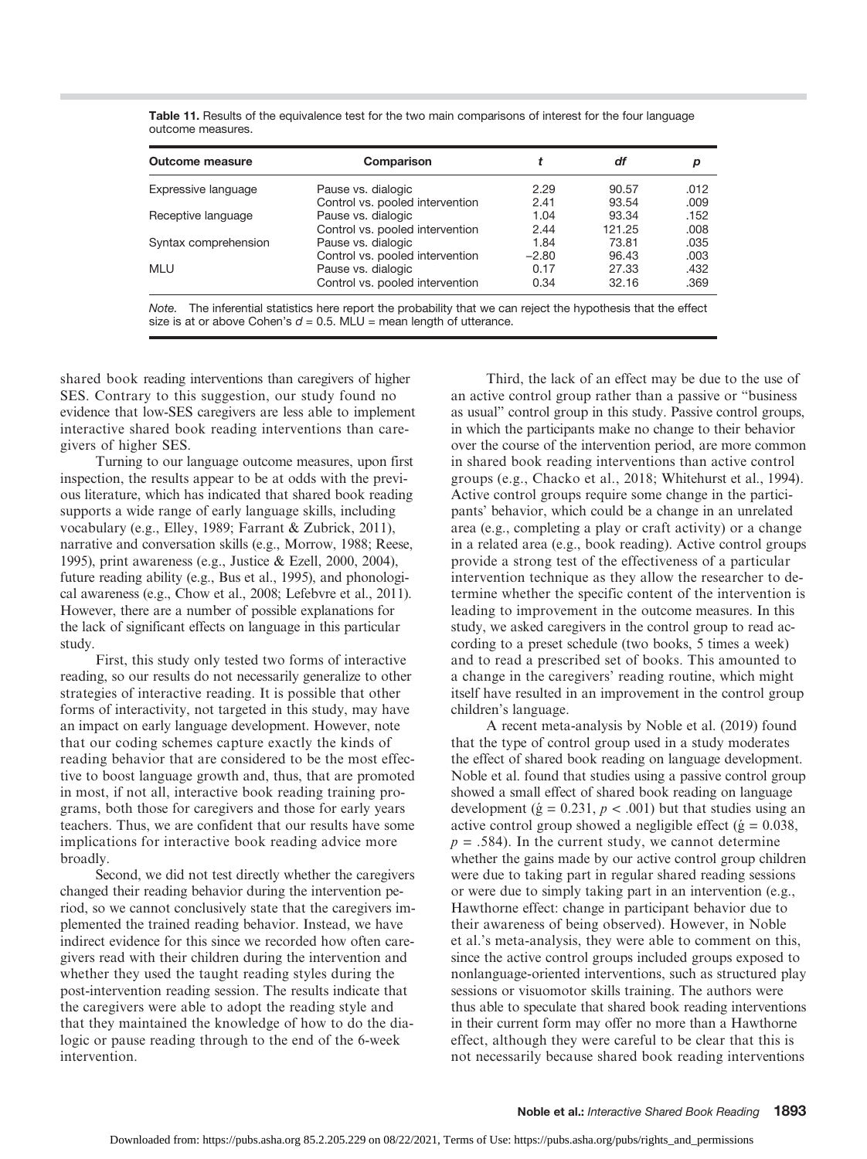| <b>Outcome measure</b> | Comparison                      |         | df     | р    |
|------------------------|---------------------------------|---------|--------|------|
| Expressive language    | Pause vs. dialogic              | 2.29    | 90.57  | .012 |
|                        | Control vs. pooled intervention | 2.41    | 93.54  | .009 |
| Receptive language     | Pause vs. dialogic              | 1.04    | 93.34  | .152 |
|                        | Control vs. pooled intervention | 2.44    | 121.25 | .008 |
| Syntax comprehension   | Pause vs. dialogic              | 1.84    | 73.81  | .035 |
|                        | Control vs. pooled intervention | $-2.80$ | 96.43  | .003 |
| MLU                    | Pause vs. dialogic              | 0.17    | 27.33  | .432 |
|                        | Control vs. pooled intervention | 0.34    | 32.16  | .369 |

Table 11. Results of the equivalence test for the two main comparisons of interest for the four language outcome measures.

Note. The inferential statistics here report the probability that we can reject the hypothesis that the effect size is at or above Cohen's  $d = 0.5$ . MLU = mean length of utterance.

shared book reading interventions than caregivers of higher SES. Contrary to this suggestion, our study found no evidence that low-SES caregivers are less able to implement interactive shared book reading interventions than caregivers of higher SES.

Turning to our language outcome measures, upon first inspection, the results appear to be at odds with the previous literature, which has indicated that shared book reading supports a wide range of early language skills, including vocabulary (e.g., Elley, 1989; Farrant & Zubrick, 2011), narrative and conversation skills (e.g., Morrow, 1988; Reese, 1995), print awareness (e.g., Justice & Ezell, 2000, 2004), future reading ability (e.g., Bus et al., 1995), and phonological awareness (e.g., Chow et al., 2008; Lefebvre et al., 2011). However, there are a number of possible explanations for the lack of significant effects on language in this particular study.

First, this study only tested two forms of interactive reading, so our results do not necessarily generalize to other strategies of interactive reading. It is possible that other forms of interactivity, not targeted in this study, may have an impact on early language development. However, note that our coding schemes capture exactly the kinds of reading behavior that are considered to be the most effective to boost language growth and, thus, that are promoted in most, if not all, interactive book reading training programs, both those for caregivers and those for early years teachers. Thus, we are confident that our results have some implications for interactive book reading advice more broadly.

Second, we did not test directly whether the caregivers changed their reading behavior during the intervention period, so we cannot conclusively state that the caregivers implemented the trained reading behavior. Instead, we have indirect evidence for this since we recorded how often caregivers read with their children during the intervention and whether they used the taught reading styles during the post-intervention reading session. The results indicate that the caregivers were able to adopt the reading style and that they maintained the knowledge of how to do the dialogic or pause reading through to the end of the 6-week intervention.

Third, the lack of an effect may be due to the use of an active control group rather than a passive or "business as usual" control group in this study. Passive control groups, in which the participants make no change to their behavior over the course of the intervention period, are more common in shared book reading interventions than active control groups (e.g., Chacko et al., 2018; Whitehurst et al., 1994). Active control groups require some change in the participants' behavior, which could be a change in an unrelated area (e.g., completing a play or craft activity) or a change in a related area (e.g., book reading). Active control groups provide a strong test of the effectiveness of a particular intervention technique as they allow the researcher to determine whether the specific content of the intervention is leading to improvement in the outcome measures. In this study, we asked caregivers in the control group to read according to a preset schedule (two books, 5 times a week) and to read a prescribed set of books. This amounted to a change in the caregivers' reading routine, which might itself have resulted in an improvement in the control group children's language.

A recent meta-analysis by Noble et al. (2019) found that the type of control group used in a study moderates the effect of shared book reading on language development. Noble et al. found that studies using a passive control group showed a small effect of shared book reading on language development ( $\acute{g}$  = 0.231,  $p$  < .001) but that studies using an active control group showed a negligible effect ( $\acute{g} = 0.038$ ,  $p = .584$ ). In the current study, we cannot determine whether the gains made by our active control group children were due to taking part in regular shared reading sessions or were due to simply taking part in an intervention (e.g., Hawthorne effect: change in participant behavior due to their awareness of being observed). However, in Noble et al.'s meta-analysis, they were able to comment on this, since the active control groups included groups exposed to nonlanguage-oriented interventions, such as structured play sessions or visuomotor skills training. The authors were thus able to speculate that shared book reading interventions in their current form may offer no more than a Hawthorne effect, although they were careful to be clear that this is not necessarily because shared book reading interventions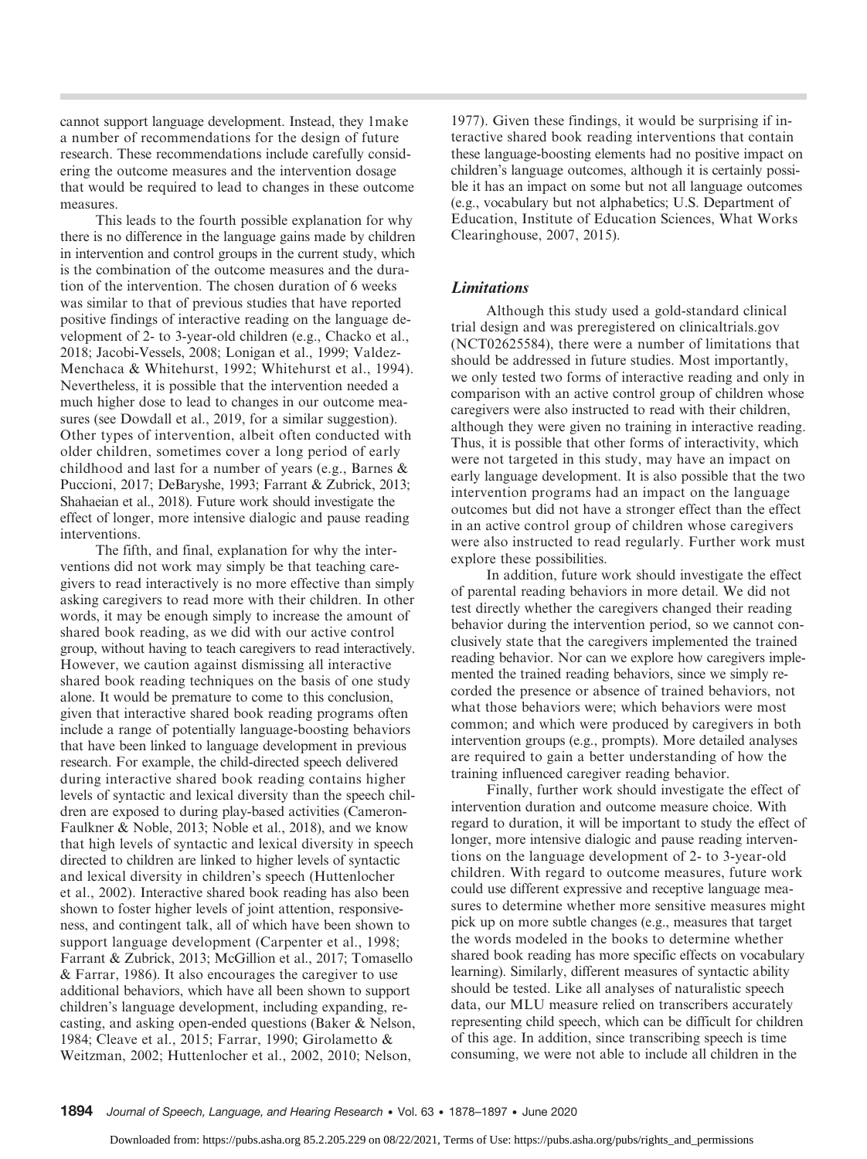cannot support language development. Instead, they 1make a number of recommendations for the design of future research. These recommendations include carefully considering the outcome measures and the intervention dosage that would be required to lead to changes in these outcome measures.

This leads to the fourth possible explanation for why there is no difference in the language gains made by children in intervention and control groups in the current study, which is the combination of the outcome measures and the duration of the intervention. The chosen duration of 6 weeks was similar to that of previous studies that have reported positive findings of interactive reading on the language development of 2- to 3-year-old children (e.g., Chacko et al., 2018; Jacobi-Vessels, 2008; Lonigan et al., 1999; Valdez-Menchaca & Whitehurst, 1992; Whitehurst et al., 1994). Nevertheless, it is possible that the intervention needed a much higher dose to lead to changes in our outcome measures (see Dowdall et al., 2019, for a similar suggestion). Other types of intervention, albeit often conducted with older children, sometimes cover a long period of early childhood and last for a number of years (e.g., Barnes & Puccioni, 2017; DeBaryshe, 1993; Farrant & Zubrick, 2013; Shahaeian et al., 2018). Future work should investigate the effect of longer, more intensive dialogic and pause reading interventions.

The fifth, and final, explanation for why the interventions did not work may simply be that teaching caregivers to read interactively is no more effective than simply asking caregivers to read more with their children. In other words, it may be enough simply to increase the amount of shared book reading, as we did with our active control group, without having to teach caregivers to read interactively. However, we caution against dismissing all interactive shared book reading techniques on the basis of one study alone. It would be premature to come to this conclusion, given that interactive shared book reading programs often include a range of potentially language-boosting behaviors that have been linked to language development in previous research. For example, the child-directed speech delivered during interactive shared book reading contains higher levels of syntactic and lexical diversity than the speech children are exposed to during play-based activities (Cameron-Faulkner & Noble, 2013; Noble et al., 2018), and we know that high levels of syntactic and lexical diversity in speech directed to children are linked to higher levels of syntactic and lexical diversity in children's speech (Huttenlocher et al., 2002). Interactive shared book reading has also been shown to foster higher levels of joint attention, responsiveness, and contingent talk, all of which have been shown to support language development (Carpenter et al., 1998; Farrant & Zubrick, 2013; McGillion et al., 2017; Tomasello & Farrar, 1986). It also encourages the caregiver to use additional behaviors, which have all been shown to support children's language development, including expanding, recasting, and asking open-ended questions (Baker & Nelson, 1984; Cleave et al., 2015; Farrar, 1990; Girolametto & Weitzman, 2002; Huttenlocher et al., 2002, 2010; Nelson,

1977). Given these findings, it would be surprising if interactive shared book reading interventions that contain these language-boosting elements had no positive impact on children's language outcomes, although it is certainly possible it has an impact on some but not all language outcomes (e.g., vocabulary but not alphabetics; U.S. Department of Education, Institute of Education Sciences, What Works Clearinghouse, 2007, 2015).

## Limitations

Although this study used a gold-standard clinical trial design and was preregistered on [clinicaltrials.gov](http://clinicaltrials.gov) (NCT02625584), there were a number of limitations that should be addressed in future studies. Most importantly, we only tested two forms of interactive reading and only in comparison with an active control group of children whose caregivers were also instructed to read with their children, although they were given no training in interactive reading. Thus, it is possible that other forms of interactivity, which were not targeted in this study, may have an impact on early language development. It is also possible that the two intervention programs had an impact on the language outcomes but did not have a stronger effect than the effect in an active control group of children whose caregivers were also instructed to read regularly. Further work must explore these possibilities.

In addition, future work should investigate the effect of parental reading behaviors in more detail. We did not test directly whether the caregivers changed their reading behavior during the intervention period, so we cannot conclusively state that the caregivers implemented the trained reading behavior. Nor can we explore how caregivers implemented the trained reading behaviors, since we simply recorded the presence or absence of trained behaviors, not what those behaviors were; which behaviors were most common; and which were produced by caregivers in both intervention groups (e.g., prompts). More detailed analyses are required to gain a better understanding of how the training influenced caregiver reading behavior.

Finally, further work should investigate the effect of intervention duration and outcome measure choice. With regard to duration, it will be important to study the effect of longer, more intensive dialogic and pause reading interventions on the language development of 2- to 3-year-old children. With regard to outcome measures, future work could use different expressive and receptive language measures to determine whether more sensitive measures might pick up on more subtle changes (e.g., measures that target the words modeled in the books to determine whether shared book reading has more specific effects on vocabulary learning). Similarly, different measures of syntactic ability should be tested. Like all analyses of naturalistic speech data, our MLU measure relied on transcribers accurately representing child speech, which can be difficult for children of this age. In addition, since transcribing speech is time consuming, we were not able to include all children in the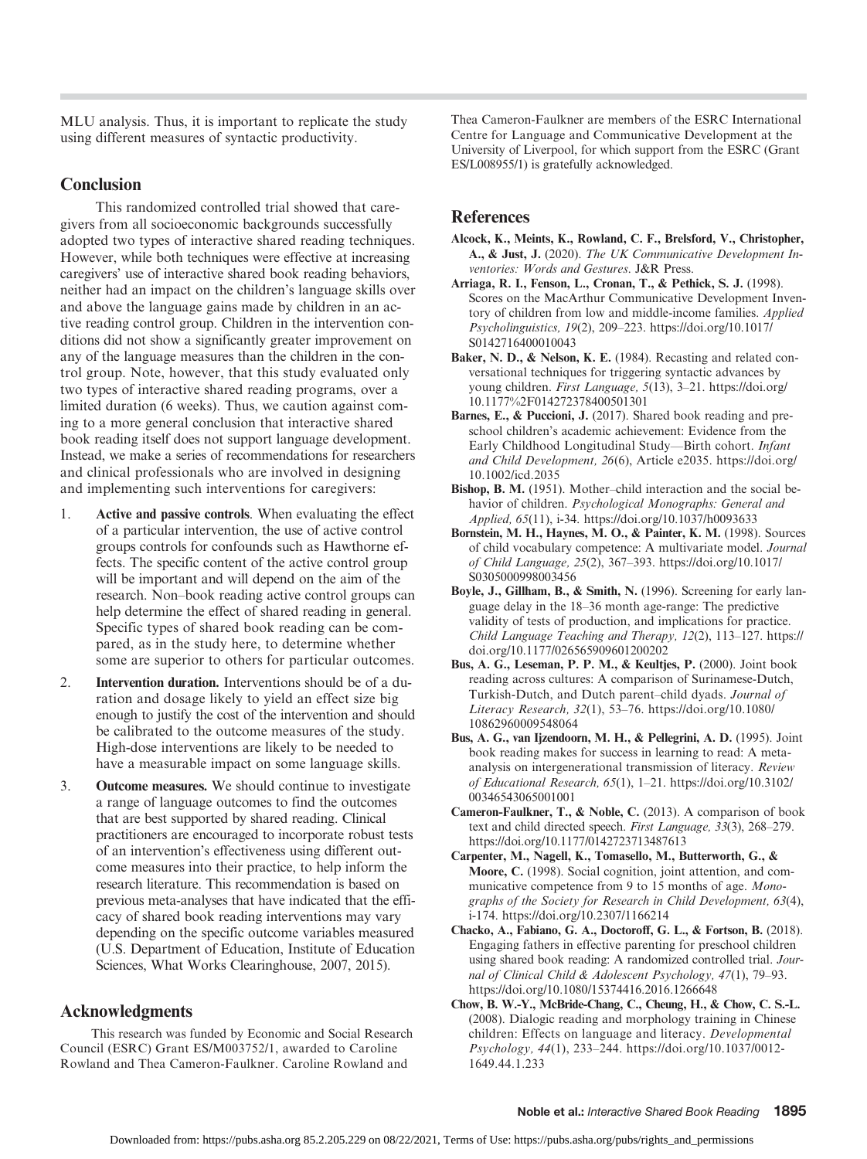MLU analysis. Thus, it is important to replicate the study using different measures of syntactic productivity.

# **Conclusion**

This randomized controlled trial showed that caregivers from all socioeconomic backgrounds successfully adopted two types of interactive shared reading techniques. However, while both techniques were effective at increasing caregivers' use of interactive shared book reading behaviors, neither had an impact on the children's language skills over and above the language gains made by children in an active reading control group. Children in the intervention conditions did not show a significantly greater improvement on any of the language measures than the children in the control group. Note, however, that this study evaluated only two types of interactive shared reading programs, over a limited duration (6 weeks). Thus, we caution against coming to a more general conclusion that interactive shared book reading itself does not support language development. Instead, we make a series of recommendations for researchers and clinical professionals who are involved in designing and implementing such interventions for caregivers:

- 1. Active and passive controls. When evaluating the effect of a particular intervention, the use of active control groups controls for confounds such as Hawthorne effects. The specific content of the active control group will be important and will depend on the aim of the research. Non–book reading active control groups can help determine the effect of shared reading in general. Specific types of shared book reading can be compared, as in the study here, to determine whether some are superior to others for particular outcomes.
- 2. Intervention duration. Interventions should be of a duration and dosage likely to yield an effect size big enough to justify the cost of the intervention and should be calibrated to the outcome measures of the study. High-dose interventions are likely to be needed to have a measurable impact on some language skills.
- 3. Outcome measures. We should continue to investigate a range of language outcomes to find the outcomes that are best supported by shared reading. Clinical practitioners are encouraged to incorporate robust tests of an intervention's effectiveness using different outcome measures into their practice, to help inform the research literature. This recommendation is based on previous meta-analyses that have indicated that the efficacy of shared book reading interventions may vary depending on the specific outcome variables measured (U.S. Department of Education, Institute of Education Sciences, What Works Clearinghouse, 2007, 2015).

# Acknowledgments

This research was funded by Economic and Social Research Council (ESRC) Grant ES/M003752/1, awarded to Caroline Rowland and Thea Cameron-Faulkner. Caroline Rowland and

Thea Cameron-Faulkner are members of the ESRC International Centre for Language and Communicative Development at the University of Liverpool, for which support from the ESRC (Grant ES/L008955/1) is gratefully acknowledged.

# **References**

- Alcock, K., Meints, K., Rowland, C. F., Brelsford, V., Christopher, A., & Just, J. (2020). The UK Communicative Development Inventories: Words and Gestures. J&R Press.
- Arriaga, R. I., Fenson, L., Cronan, T., & Pethick, S. J. (1998). Scores on the MacArthur Communicative Development Inventory of children from low and middle-income families. Applied Psycholinguistics, 19(2), 209–223. [https://doi.org/10.1017/](https://doi.org/10.1017/S0142716400010043) [S0142716400010043](https://doi.org/10.1017/S0142716400010043)
- Baker, N. D., & Nelson, K. E. (1984). Recasting and related conversational techniques for triggering syntactic advances by young children. First Language, 5(13), 3–21. [https://doi.org/](https://doi.org/10.1177%2F014272378400501301) [10.1177%2F014272378400501301](https://doi.org/10.1177%2F014272378400501301)
- Barnes, E., & Puccioni, J. (2017). Shared book reading and preschool children's academic achievement: Evidence from the Early Childhood Longitudinal Study—Birth cohort. Infant and Child Development, 26(6), Article e2035. [https://doi.org/](https://doi.org/10.1002/icd.2035) [10.1002/icd.2035](https://doi.org/10.1002/icd.2035)
- Bishop, B. M. (1951). Mother–child interaction and the social behavior of children. Psychological Monographs: General and Applied, 65(11), i-34.<https://doi.org/10.1037/h0093633>
- Bornstein, M. H., Haynes, M. O., & Painter, K. M. (1998). Sources of child vocabulary competence: A multivariate model. Journal of Child Language, 25(2), 367–393. [https://doi.org/10.1017/](https://doi.org/10.1017/S0305000998003456) [S0305000998003456](https://doi.org/10.1017/S0305000998003456)
- Boyle, J., Gillham, B., & Smith, N. (1996). Screening for early language delay in the 18–36 month age-range: The predictive validity of tests of production, and implications for practice. Child Language Teaching and Therapy, 12(2), 113–127. [https://](https://doi.org/10.1177/026565909601200202) [doi.org/10.1177/026565909601200202](https://doi.org/10.1177/026565909601200202)
- Bus, A. G., Leseman, P. P. M., & Keultjes, P. (2000). Joint book reading across cultures: A comparison of Surinamese-Dutch, Turkish-Dutch, and Dutch parent–child dyads. Journal of Literacy Research, 32(1), 53–76. [https://doi.org/10.1080/](https://doi.org/10.1080/10862960009548064) [10862960009548064](https://doi.org/10.1080/10862960009548064)
- Bus, A. G., van Ijzendoorn, M. H., & Pellegrini, A. D. (1995). Joint book reading makes for success in learning to read: A metaanalysis on intergenerational transmission of literacy. Review of Educational Research, 65(1), 1–21. [https://doi.org/10.3102/](https://doi.org/10.3102/00346543065001001) [00346543065001001](https://doi.org/10.3102/00346543065001001)
- Cameron-Faulkner, T., & Noble, C. (2013). A comparison of book text and child directed speech. First Language, 33(3), 268–279. <https://doi.org/10.1177/0142723713487613>
- Carpenter, M., Nagell, K., Tomasello, M., Butterworth, G., & Moore, C. (1998). Social cognition, joint attention, and communicative competence from 9 to 15 months of age. Monographs of the Society for Research in Child Development, 63(4), i-174.<https://doi.org/10.2307/1166214>
- Chacko, A., Fabiano, G. A., Doctoroff, G. L., & Fortson, B. (2018). Engaging fathers in effective parenting for preschool children using shared book reading: A randomized controlled trial. Journal of Clinical Child & Adolescent Psychology, 47(1), 79–93. <https://doi.org/10.1080/15374416.2016.1266648>
- Chow, B. W.-Y., McBride-Chang, C., Cheung, H., & Chow, C. S.-L. (2008). Dialogic reading and morphology training in Chinese children: Effects on language and literacy. Developmental Psychology, 44(1), 233–244. [https://doi.org/10.1037/0012-](https://doi.org/10.1037/0012-1649.44.1.233) [1649.44.1.233](https://doi.org/10.1037/0012-1649.44.1.233)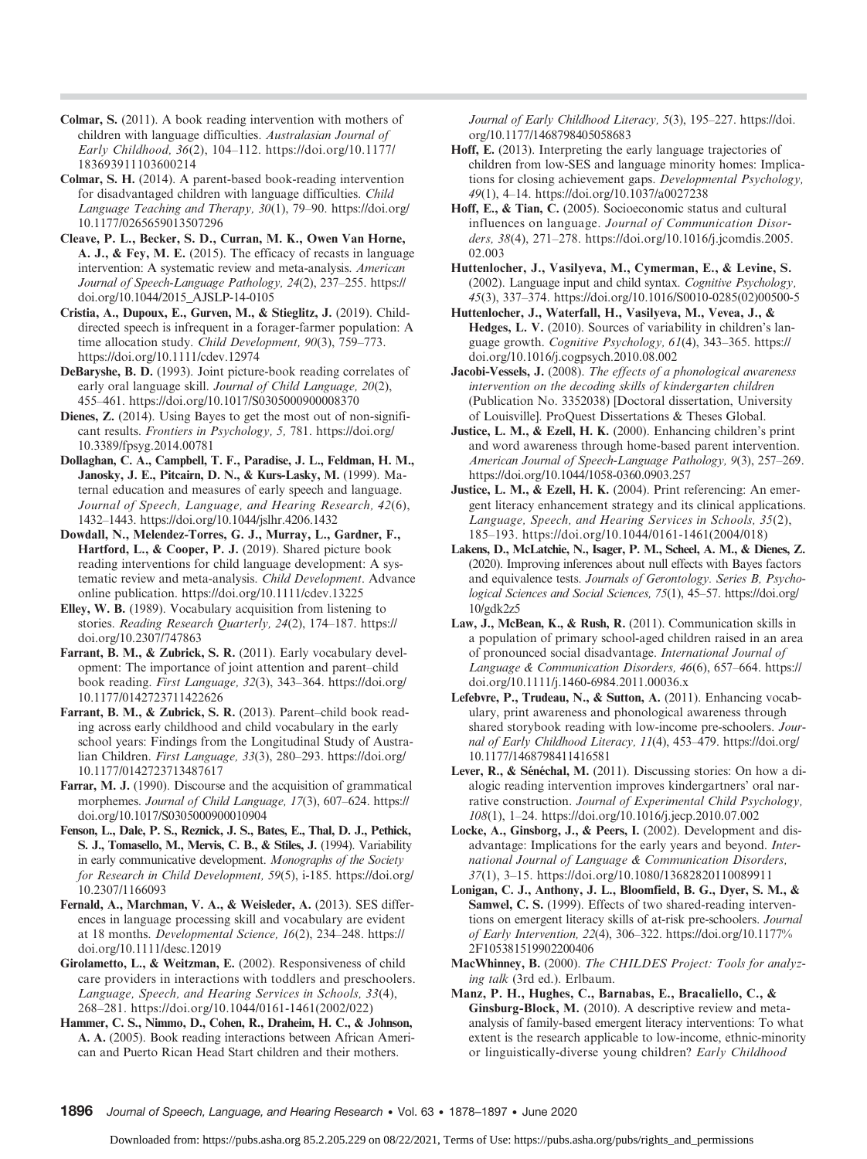- Colmar, S. (2011). A book reading intervention with mothers of children with language difficulties. Australasian Journal of Early Childhood, 36(2), 104–112. [https://doi.org/10.1177/](https://doi.org/10.1177/183693911103600214) [183693911103600214](https://doi.org/10.1177/183693911103600214)
- Colmar, S. H. (2014). A parent-based book-reading intervention for disadvantaged children with language difficulties. Child Language Teaching and Therapy, 30(1), 79–90. [https://doi.org/](https://doi.org/10.1177/0265659013507296) [10.1177/0265659013507296](https://doi.org/10.1177/0265659013507296)
- Cleave, P. L., Becker, S. D., Curran, M. K., Owen Van Horne, A. J., & Fey, M. E. (2015). The efficacy of recasts in language intervention: A systematic review and meta-analysis. American Journal of Speech-Language Pathology, 24(2), 237–255. [https://](https://doi.org/10.1044/2015_AJSLP-14-0105) [doi.org/10.1044/2015\\_AJSLP-14-0105](https://doi.org/10.1044/2015_AJSLP-14-0105)
- Cristia, A., Dupoux, E., Gurven, M., & Stieglitz, J. (2019). Childdirected speech is infrequent in a forager-farmer population: A time allocation study. Child Development, 90(3), 759–773. <https://doi.org/10.1111/cdev.12974>
- DeBaryshe, B. D. (1993). Joint picture-book reading correlates of early oral language skill. Journal of Child Language, 20(2), 455–461.<https://doi.org/10.1017/S0305000900008370>
- Dienes, Z. (2014). Using Bayes to get the most out of non-significant results. Frontiers in Psychology, 5, 781. [https://doi.org/](https://doi.org/10.3389/fpsyg.2014.00781) [10.3389/fpsyg.2014.00781](https://doi.org/10.3389/fpsyg.2014.00781)
- Dollaghan, C. A., Campbell, T. F., Paradise, J. L., Feldman, H. M., Janosky, J. E., Pitcairn, D. N., & Kurs-Lasky, M. (1999). Maternal education and measures of early speech and language. Journal of Speech, Language, and Hearing Research, 42(6), 1432–1443.<https://doi.org/10.1044/jslhr.4206.1432>
- Dowdall, N., Melendez-Torres, G. J., Murray, L., Gardner, F., Hartford, L., & Cooper, P. J. (2019). Shared picture book reading interventions for child language development: A systematic review and meta-analysis. Child Development. Advance online publication.<https://doi.org/10.1111/cdev.13225>
- Elley, W. B. (1989). Vocabulary acquisition from listening to stories. Reading Research Quarterly, 24(2), 174–187. [https://](https://doi.org/10.2307/747863) [doi.org/10.2307/747863](https://doi.org/10.2307/747863)
- Farrant, B. M., & Zubrick, S. R. (2011). Early vocabulary development: The importance of joint attention and parent–child book reading. First Language, 32(3), 343–364. [https://doi.org/](https://doi.org/10.1177/0142723711422626) [10.1177/0142723711422626](https://doi.org/10.1177/0142723711422626)
- Farrant, B. M., & Zubrick, S. R. (2013). Parent–child book reading across early childhood and child vocabulary in the early school years: Findings from the Longitudinal Study of Australian Children. First Language, 33(3), 280–293. [https://doi.org/](https://doi.org/10.1177/0142723713487617) [10.1177/0142723713487617](https://doi.org/10.1177/0142723713487617)
- Farrar, M. J. (1990). Discourse and the acquisition of grammatical morphemes. Journal of Child Language, 17(3), 607–624. [https://](https://doi.org/10.1017/S0305000900010904) [doi.org/10.1017/S0305000900010904](https://doi.org/10.1017/S0305000900010904)
- Fenson, L., Dale, P. S., Reznick, J. S., Bates, E., Thal, D. J., Pethick, S. J., Tomasello, M., Mervis, C. B., & Stiles, J. (1994). Variability in early communicative development. Monographs of the Society for Research in Child Development, 59(5), i-185. [https://doi.org/](https://doi.org/10.2307/1166093) [10.2307/1166093](https://doi.org/10.2307/1166093)
- Fernald, A., Marchman, V. A., & Weisleder, A. (2013). SES differences in language processing skill and vocabulary are evident at 18 months. Developmental Science, 16(2), 234–248. [https://](https://doi.org/10.1111/desc.12019) [doi.org/10.1111/desc.12019](https://doi.org/10.1111/desc.12019)
- Girolametto, L., & Weitzman, E. (2002). Responsiveness of child care providers in interactions with toddlers and preschoolers. Language, Speech, and Hearing Services in Schools, 33(4), 268–281. [https://doi.org/10.1044/0161-1461\(2002/022\)](https://doi.org/10.1044/0161-1461(2002/022))
- Hammer, C. S., Nimmo, D., Cohen, R., Draheim, H. C., & Johnson, A. A. (2005). Book reading interactions between African American and Puerto Rican Head Start children and their mothers.

Journal of Early Childhood Literacy, 5(3), 195–227. [https://doi.](https://doi.org/10.1177/1468798405058683) [org/10.1177/1468798405058683](https://doi.org/10.1177/1468798405058683)

- Hoff, E. (2013). Interpreting the early language trajectories of children from low-SES and language minority homes: Implications for closing achievement gaps. Developmental Psychology, 49(1), 4–14.<https://doi.org/10.1037/a0027238>
- Hoff, E., & Tian, C. (2005). Socioeconomic status and cultural influences on language. Journal of Communication Disorders, 38(4), 271–278. [https://doi.org/10.1016/j.jcomdis.2005.](https://doi.org/10.1016/j.jcomdis.2005.02.003) [02.003](https://doi.org/10.1016/j.jcomdis.2005.02.003)
- Huttenlocher, J., Vasilyeva, M., Cymerman, E., & Levine, S. (2002). Language input and child syntax. Cognitive Psychology, 45(3), 337–374. [https://doi.org/10.1016/S0010-0285\(02\)00500-5](https://doi.org/10.1016/S0010-0285(02)00500-5)
- Huttenlocher, J., Waterfall, H., Vasilyeva, M., Vevea, J., & Hedges, L. V. (2010). Sources of variability in children's language growth. Cognitive Psychology, 61(4), 343–365. [https://](https://doi.org/10.1016/j.cogpsych.2010.08.002) [doi.org/10.1016/j.cogpsych.2010.08.002](https://doi.org/10.1016/j.cogpsych.2010.08.002)
- Jacobi-Vessels, J. (2008). The effects of a phonological awareness intervention on the decoding skills of kindergarten children (Publication No. 3352038) [Doctoral dissertation, University of Louisville]. ProQuest Dissertations & Theses Global.
- Justice, L. M., & Ezell, H. K. (2000). Enhancing children's print and word awareness through home-based parent intervention. American Journal of Speech-Language Pathology, 9(3), 257–269. <https://doi.org/10.1044/1058-0360.0903.257>
- Justice, L. M., & Ezell, H. K. (2004). Print referencing: An emergent literacy enhancement strategy and its clinical applications. Language, Speech, and Hearing Services in Schools, 35(2), 185–193. [https://doi.org/10.1044/0161-1461\(2004/018\)](https://doi.org/10.1044/0161-1461(2004/018))
- Lakens, D., McLatchie, N., Isager, P. M., Scheel, A. M., & Dienes, Z. (2020). Improving inferences about null effects with Bayes factors and equivalence tests. Journals of Gerontology. Series B, Psychological Sciences and Social Sciences, 75(1), 45–57. [https://doi.org/](https://doi.org/10/gdk2z5) [10/gdk2z5](https://doi.org/10/gdk2z5)
- Law, J., McBean, K., & Rush, R. (2011). Communication skills in a population of primary school-aged children raised in an area of pronounced social disadvantage. International Journal of Language & Communication Disorders, 46(6), 657–664. [https://](https://doi.org/10.1111/j.1460-6984.2011.00036.x) [doi.org/10.1111/j.1460-6984.2011.00036.x](https://doi.org/10.1111/j.1460-6984.2011.00036.x)
- Lefebvre, P., Trudeau, N., & Sutton, A. (2011). Enhancing vocabulary, print awareness and phonological awareness through shared storybook reading with low-income pre-schoolers. Journal of Early Childhood Literacy, 11(4), 453–479. [https://doi.org/](https://doi.org/10.1177/1468798411416581) [10.1177/1468798411416581](https://doi.org/10.1177/1468798411416581)
- Lever, R., & Sénéchal, M. (2011). Discussing stories: On how a dialogic reading intervention improves kindergartners' oral narrative construction. Journal of Experimental Child Psychology, 108(1), 1–24.<https://doi.org/10.1016/j.jecp.2010.07.002>
- Locke, A., Ginsborg, J., & Peers, I. (2002). Development and disadvantage: Implications for the early years and beyond. International Journal of Language & Communication Disorders, 37(1), 3–15.<https://doi.org/10.1080/13682820110089911>
- Lonigan, C. J., Anthony, J. L., Bloomfield, B. G., Dyer, S. M., & Samwel, C. S. (1999). Effects of two shared-reading interventions on emergent literacy skills of at-risk pre-schoolers. Journal of Early Intervention, 22(4), 306–322. [https://doi.org/10.1177%](https://doi.org/10.1177%2F105381519902200406) [2F105381519902200406](https://doi.org/10.1177%2F105381519902200406)
- MacWhinney, B. (2000). The CHILDES Project: Tools for analyzing talk (3rd ed.). Erlbaum.
- Manz, P. H., Hughes, C., Barnabas, E., Bracaliello, C., & Ginsburg-Block, M. (2010). A descriptive review and metaanalysis of family-based emergent literacy interventions: To what extent is the research applicable to low-income, ethnic-minority or linguistically-diverse young children? Early Childhood